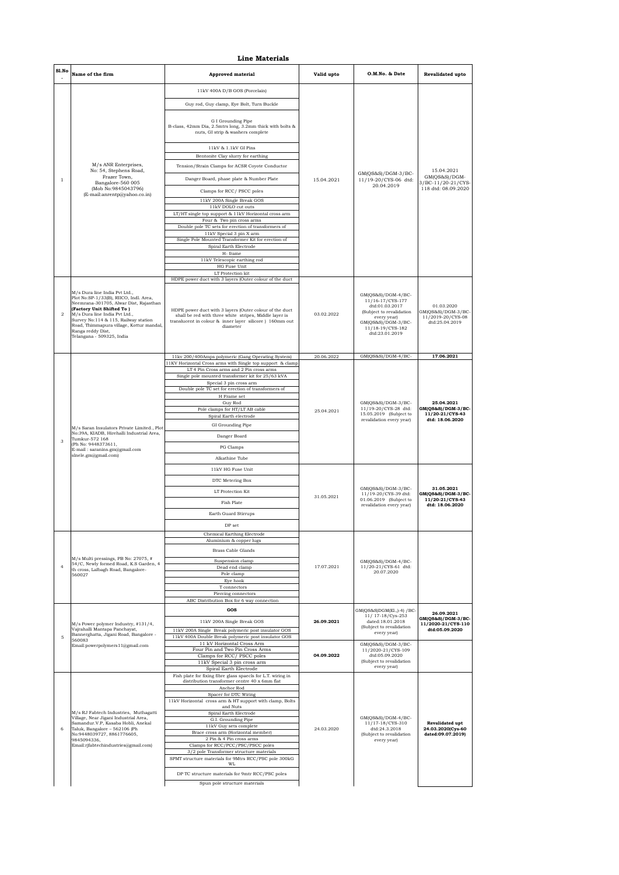|                | <b>Line Materials</b>                                                                                                                                                                                                                                                                                               |                                                                                                                                                                                                                   |            |                                                                                                                                                                   |                                                                         |  |  |
|----------------|---------------------------------------------------------------------------------------------------------------------------------------------------------------------------------------------------------------------------------------------------------------------------------------------------------------------|-------------------------------------------------------------------------------------------------------------------------------------------------------------------------------------------------------------------|------------|-------------------------------------------------------------------------------------------------------------------------------------------------------------------|-------------------------------------------------------------------------|--|--|
| Sl.No          | Name of the firm                                                                                                                                                                                                                                                                                                    | <b>Approved material</b>                                                                                                                                                                                          | Valid upto | O.M.No. & Date                                                                                                                                                    | Revalidated upto                                                        |  |  |
|                |                                                                                                                                                                                                                                                                                                                     | 11kV 400A D/B GOS (Porcelain)                                                                                                                                                                                     |            |                                                                                                                                                                   |                                                                         |  |  |
|                |                                                                                                                                                                                                                                                                                                                     | Guy rod, Guy clamp, Eye Bolt, Turn Buckle                                                                                                                                                                         |            |                                                                                                                                                                   |                                                                         |  |  |
|                |                                                                                                                                                                                                                                                                                                                     | G I Grounding Pipe<br>B-class, 42mm Dia, 2.5mtrs long, 3.2mm thick with bolts &<br>nuts, GI strip & washers complete                                                                                              |            |                                                                                                                                                                   |                                                                         |  |  |
|                |                                                                                                                                                                                                                                                                                                                     | 11kV & 1.1kV GI Pins                                                                                                                                                                                              |            |                                                                                                                                                                   |                                                                         |  |  |
|                | M/s ANR Enterprises,                                                                                                                                                                                                                                                                                                | Bentonite Clay slurry for earthing                                                                                                                                                                                |            |                                                                                                                                                                   |                                                                         |  |  |
|                | No: 54, Stephens Road,<br>Frazer Town,                                                                                                                                                                                                                                                                              | Tension/Strain Clamps for ACSR Coyote Conductor<br>Danger Board, phase plate & Number Plate                                                                                                                       |            | $GM(QS&S)/DGM-3/BC-$                                                                                                                                              | 15.04.2021<br>$GM(QS&S)/DGM-$                                           |  |  |
| $\mathbf{1}$   | Bangalore-560 005<br>(Mob No:9845043796)                                                                                                                                                                                                                                                                            | Clamps for RCC/PSCC poles                                                                                                                                                                                         | 15.04.2021 | 11/19-20/CYS-06 dtd:<br>20.04.2019                                                                                                                                | 3/BC-11/20-21/CYS-<br>118 dtd: 08.09.2020                               |  |  |
|                | (E-mail:anrentp@yahoo.co.in)                                                                                                                                                                                                                                                                                        | 11kV 200A Single Break GOS                                                                                                                                                                                        |            |                                                                                                                                                                   |                                                                         |  |  |
|                |                                                                                                                                                                                                                                                                                                                     | $11\mathrm{kV}$ DOLO cut outs<br>LT/HT single top support & 11kV Horizontal cross arm                                                                                                                             |            |                                                                                                                                                                   |                                                                         |  |  |
|                |                                                                                                                                                                                                                                                                                                                     | Four & Two pin cross arms<br>Double pole TC sets for erection of transformers of                                                                                                                                  |            |                                                                                                                                                                   |                                                                         |  |  |
|                |                                                                                                                                                                                                                                                                                                                     | 11kV Special 3 pin X arm<br>Single Pole Mounted Transformer Kit for erection of                                                                                                                                   |            |                                                                                                                                                                   |                                                                         |  |  |
|                |                                                                                                                                                                                                                                                                                                                     | Spiral Earth Electrode<br>H-frame                                                                                                                                                                                 |            |                                                                                                                                                                   |                                                                         |  |  |
|                |                                                                                                                                                                                                                                                                                                                     | 11kV Telescopic earthing rod<br>HG Fuse Unit                                                                                                                                                                      |            |                                                                                                                                                                   |                                                                         |  |  |
|                |                                                                                                                                                                                                                                                                                                                     | LT Protection kit<br>HDPE power duct with 3 layers (Outer colour of the duct                                                                                                                                      |            |                                                                                                                                                                   |                                                                         |  |  |
| $\overline{2}$ | M/s Dura line India Pvt Ltd<br>Plot No:SP-1/33(B), RIICO, Indl. Area,<br>Neemrana-301705, Alwar Dist, Rajasthan<br>(Factory Unit Shifted To)<br>M/s Dura line India Pvt Ltd.,<br>Survey No:114 & 115, Railway station<br>Road, Thimmapura village, Kottur mandal,<br>Ranga reddy Dist,<br>Telangana - 509325, India | HDPE power duct with 3 layers (Outer colour of the duct<br>shall be red with three white stripes, Middle layer is<br>translucent in colour & inner layer silicore ) 160mm out<br>diameter                         | 03.02.2022 | $GM(QS&S)/DGM-4/BC-$<br>11/16-17/CYS-177<br>dtd:01.03.2017<br>(Subject to revalidation<br>every year)<br>GM(QS&S)/DGM-3/BC-<br>11/18-19/CYS-182<br>dtd:23.01.2019 | 01.03.2020<br>GM(QS&S)/DGM-3/BC-<br>11/2019-20/CYS-08<br>dtd:25.04.2019 |  |  |
|                |                                                                                                                                                                                                                                                                                                                     | 11kv 200/400Amps polymeric (Gang Operating System)<br>11KV Horizontal Cross arms with Single top support & clamp<br>LT 4 Pin Cross arms and 2 Pin cross arms<br>Single pole mounted transformer kit for 25/63 kVA | 20.06.2022 | GM(QS&S)/DGM-4/BC-                                                                                                                                                | 17.06.2021                                                              |  |  |
|                | M/s Saran Insulators Private Limited., Plot<br>No:39A, KIADB, Hirehalli Industrial Area,<br>Tumkur-572 168                                                                                                                                                                                                          | Special 3 pin cross arm<br>Double pole TC set for erection of transformers of<br>H Frame set<br>Guy Rod                                                                                                           |            | GM(QS&S)/DGM-3/BC-                                                                                                                                                | 25.04.2021                                                              |  |  |
|                |                                                                                                                                                                                                                                                                                                                     | Pole clamps for HT/LT AB cable                                                                                                                                                                                    | 25.04.2021 | 11/19-20/CYS-28 dtd:<br>15.05.2019 (Subject to                                                                                                                    | GM(QS&S)/DGM-3/BC-<br>11/20-21/CYS-43                                   |  |  |
|                |                                                                                                                                                                                                                                                                                                                     | Spiral Earth electrode<br>GI Grounding Pipe                                                                                                                                                                       |            | revalidation every year)                                                                                                                                          | dtd: 18.06.2020                                                         |  |  |
|                |                                                                                                                                                                                                                                                                                                                     | Danger Board                                                                                                                                                                                                      |            |                                                                                                                                                                   |                                                                         |  |  |
| $\mathcal{B}$  | (Ph No: 9448373611,<br>E-mail: saranins.gm@gmail.com                                                                                                                                                                                                                                                                | PG Clamps                                                                                                                                                                                                         |            |                                                                                                                                                                   |                                                                         |  |  |
|                | slnele.gm@gmail.com)                                                                                                                                                                                                                                                                                                | Alkathine Tube                                                                                                                                                                                                    |            |                                                                                                                                                                   |                                                                         |  |  |
|                |                                                                                                                                                                                                                                                                                                                     | 11kV HG Fuse Unit                                                                                                                                                                                                 | 31.05.2021 |                                                                                                                                                                   |                                                                         |  |  |
|                |                                                                                                                                                                                                                                                                                                                     | DTC Metering Box                                                                                                                                                                                                  |            | GM(QS&S)/DGM-3/BC-<br>11/19-20/CYS-39 dtd:<br>01.06.2019 (Subject to<br>revalidation every year)                                                                  | 31.05.2021                                                              |  |  |
|                |                                                                                                                                                                                                                                                                                                                     | LT Protection Kit<br><b>Fish Plate</b>                                                                                                                                                                            |            |                                                                                                                                                                   | GM(QS&S)/DGM-3/BC-<br>11/20-21/CYS-43                                   |  |  |
|                |                                                                                                                                                                                                                                                                                                                     | Earth Guard Stirrups                                                                                                                                                                                              |            |                                                                                                                                                                   | dtd: 18.06.2020                                                         |  |  |
|                |                                                                                                                                                                                                                                                                                                                     | DP set                                                                                                                                                                                                            |            |                                                                                                                                                                   |                                                                         |  |  |
|                |                                                                                                                                                                                                                                                                                                                     | Chemical Earthing Electrode                                                                                                                                                                                       |            |                                                                                                                                                                   |                                                                         |  |  |
|                |                                                                                                                                                                                                                                                                                                                     | Aluminium & copper lugs<br>Brass Cable Glands                                                                                                                                                                     |            | GM(QS&S)/DGM-4/BC-<br>11/20-21/CYS-61 dtd:<br>20.07.2020                                                                                                          |                                                                         |  |  |
|                | M/s Multi pressings, PB No: 27075, #<br>54/C, Newly formed Road, K.S Garden, 4                                                                                                                                                                                                                                      | Suspension clamp                                                                                                                                                                                                  |            |                                                                                                                                                                   |                                                                         |  |  |
| $\overline{4}$ | th cross, Lalbagh Road, Bangalore-<br>560027                                                                                                                                                                                                                                                                        | Dead end clamp<br>Pole clamp                                                                                                                                                                                      | 17.07.2021 |                                                                                                                                                                   |                                                                         |  |  |
|                |                                                                                                                                                                                                                                                                                                                     | Eye hook<br>T connectors                                                                                                                                                                                          |            |                                                                                                                                                                   |                                                                         |  |  |
|                |                                                                                                                                                                                                                                                                                                                     | Piercing connectors<br>ABC Distribution Box for 6 way connection                                                                                                                                                  |            |                                                                                                                                                                   |                                                                         |  |  |
|                |                                                                                                                                                                                                                                                                                                                     | GOS                                                                                                                                                                                                               |            | GM(OS&S)DGM(EL.)-4) /BC-                                                                                                                                          | 26.09.2021                                                              |  |  |
|                | M/s Power polymer Industry, #131/4,<br>Vairahalli Mantapa Panchavat.<br>Bannerghatta, Jigani Road, Bangalore -                                                                                                                                                                                                      | 11kV 200A Single Break GOS<br>11kV 200A Single Break polymeric post insulator GOS                                                                                                                                 | 26.09.2021 | 11/ 17-18/Cys-253<br>dated:18.01.2018<br>(Subject to revalidation<br>every year)                                                                                  | GM(QS&S)/DGM-3/BC-<br>11/2020-21/CYS-110<br>dtd:05.09.2020              |  |  |
| 5              | 560083<br>Email:powerpolymers11@gmail.com                                                                                                                                                                                                                                                                           | 11kV 400A Double Break polymeric post insulator GOS<br>11 kV Horizontal Cross Arm                                                                                                                                 |            | $GM(QS&S)/DGM-3/BC-$                                                                                                                                              |                                                                         |  |  |
|                |                                                                                                                                                                                                                                                                                                                     | Four Pin and Two Pin Cross Arms<br>Clamps for RCC/PSCC poles                                                                                                                                                      | 04.09.2022 | 11/2020-21/CYS-109<br>dtd:05.09.2020                                                                                                                              |                                                                         |  |  |
|                |                                                                                                                                                                                                                                                                                                                     | 11kV Special 3 pin cross arm<br>Spiral Earth Electrode                                                                                                                                                            |            | (Subject to revalidation<br>every year)                                                                                                                           |                                                                         |  |  |
|                |                                                                                                                                                                                                                                                                                                                     | Fish plate for fixing fibre glass spaecls for L.T. wiring in<br>distribution transformer centre 40 x 6mm flat                                                                                                     |            |                                                                                                                                                                   |                                                                         |  |  |
|                |                                                                                                                                                                                                                                                                                                                     | Anchor Rod<br>Spacer for DTC Wiring                                                                                                                                                                               |            |                                                                                                                                                                   |                                                                         |  |  |
|                |                                                                                                                                                                                                                                                                                                                     | 11kV Horizontal cross arm & HT support with clamp, Bolts<br>and Nuts                                                                                                                                              |            |                                                                                                                                                                   |                                                                         |  |  |
|                | M/s RJ Fabtech Industries, Muthagatti<br>Village, Near Jigani Industrial Area,<br>Samandur.V.P, Kasaba Hobli, Anekal                                                                                                                                                                                                | Spiral Earth Electrode<br>G.I. Grounding Pipe                                                                                                                                                                     |            | $GM(QS&S)/DGM-4/BC-$<br>11/17-18/CYS-310                                                                                                                          | Revalidated upt                                                         |  |  |
| 6              | Taluk, Bangalore - 562106 (Ph<br>No:9448039727, 8861776605,                                                                                                                                                                                                                                                         | 11kV Guy sets complete<br>Brace cross arm (Horizontal member)                                                                                                                                                     | 24.03.2020 | dtd:24.3.2018<br>(Subject to revalidation                                                                                                                         | 24.03.2020(Cys-60<br>dated:09.07.2019)                                  |  |  |
|                | 9845094336,<br>Email:rjfabtechindustries@gmail.com)                                                                                                                                                                                                                                                                 | 2 Pin & 4 Pin cross arms<br>Clamps for RCC/PCC/PSC/PSCC poles<br>$3/2$ pole Transformer structure materials<br>SPMT structure materials for 9Mtrs RCC/PSC pole 300kG                                              |            | every year)                                                                                                                                                       |                                                                         |  |  |
|                |                                                                                                                                                                                                                                                                                                                     | WI.<br>DP TC structure materials for 9mtr RCC/PSC poles                                                                                                                                                           |            |                                                                                                                                                                   |                                                                         |  |  |
|                |                                                                                                                                                                                                                                                                                                                     | Spun pole structure materials                                                                                                                                                                                     |            |                                                                                                                                                                   |                                                                         |  |  |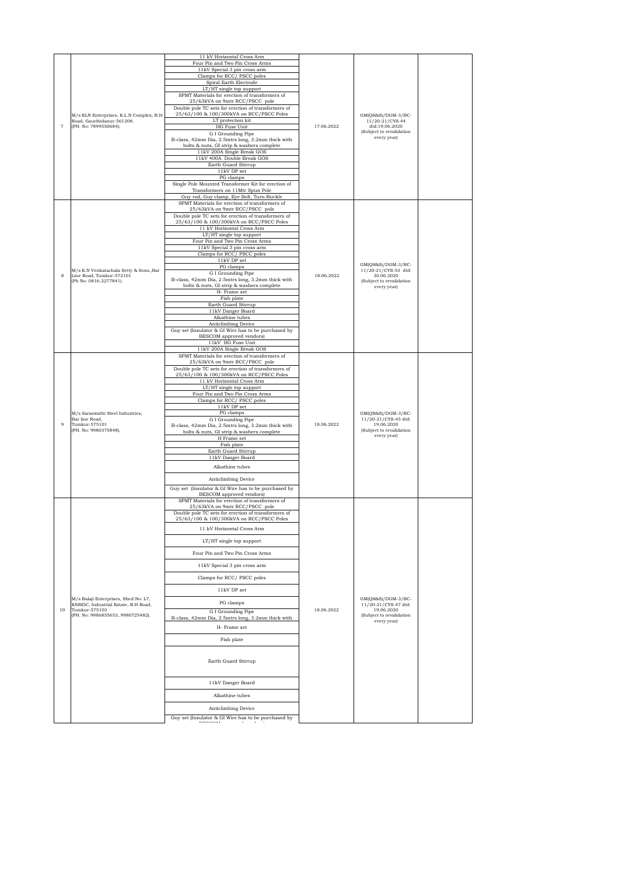|                |                                                                              | 11 kV Horizontal Cross Arm<br>Four Pin and Two Pin Cross Arms                                  |            |                                                       |  |
|----------------|------------------------------------------------------------------------------|------------------------------------------------------------------------------------------------|------------|-------------------------------------------------------|--|
|                |                                                                              | 11kV Special 3 pin cross arm                                                                   |            |                                                       |  |
|                |                                                                              | Clamps for RCC/ PSCC poles                                                                     |            |                                                       |  |
|                |                                                                              | Spiral Earth Electrode                                                                         |            |                                                       |  |
|                |                                                                              | LT/HT single top support                                                                       |            |                                                       |  |
|                |                                                                              | SPMT Materials for erection of transformers of<br>25/63kVA on 9mtr RCC/PSCC pole               |            |                                                       |  |
|                |                                                                              | Double pole TC sets for erection of transformers of                                            |            |                                                       |  |
|                | M/s KLN Enterprises, K.L.N Complex, B.H                                      | 25/63/100 & 100/300kVA on RCC/PSCC Poles                                                       |            | GM(QS&S)/DGM-3/BC-                                    |  |
| $\overline{7}$ | Road, Gauribidanur-561208.<br>(PH. No: 7899550684).                          | LT protection kit                                                                              | 17.06.2022 | 11/20-21/CYS-44<br>dtd:19.06.2020                     |  |
|                |                                                                              | HG Fuse Unit<br>G I Grounding Pipe                                                             |            | (Subject to revalidation                              |  |
|                |                                                                              | B-class, 42mm Dia, 2.5mtrs long, 3.2mm thick with                                              |            | every year)                                           |  |
|                |                                                                              | bolts & nuts, GI strip & washers complete                                                      |            |                                                       |  |
|                |                                                                              | 11kV 200A Single Break GOS<br>11kV 400A Double Break GOS                                       |            |                                                       |  |
|                |                                                                              | Earth Guard Stirrup                                                                            |            |                                                       |  |
|                |                                                                              | $11\mathrm{kV}$ DP set                                                                         |            |                                                       |  |
|                |                                                                              | PG clamps                                                                                      |            |                                                       |  |
|                |                                                                              | Single Pole Mounted Transformer Kit for erection of<br>Transformers on 11Mtr Spun Pole         |            |                                                       |  |
|                |                                                                              | Guy rod, Guy clamp, Eye Bolt, Turn Buckle                                                      |            |                                                       |  |
|                |                                                                              | SPMT Materials for erection of transformers of                                                 |            |                                                       |  |
|                |                                                                              | 25/63kVA on 9mtr RCC/PSCC pole<br>Double pole TC sets for erection of transformers of          |            |                                                       |  |
|                |                                                                              | 25/63/100 & 100/300kVA on RCC/PSCC Poles                                                       |            |                                                       |  |
|                |                                                                              | 11 kV Horizontal Cross Arm                                                                     |            |                                                       |  |
|                |                                                                              | LT/HT single top support<br>Four Pin and Two Pin Cross Arms                                    |            |                                                       |  |
|                |                                                                              | 11kV Special 3 pin cross arm                                                                   |            |                                                       |  |
|                |                                                                              | Clamps for RCC/PSCC poles                                                                      |            |                                                       |  |
|                |                                                                              | $11\mathrm{kV}$ DP set                                                                         |            | GM(QS&S)/DGM-3/BC-                                    |  |
|                | M/s K.N Venkatachala Setty & Sons., Bar                                      | PG clamps<br>G I Grounding Pipe                                                                |            | 11/20-21/CYS-53 dtd:                                  |  |
| 8              | Line Road, Tumkur-572101<br>(Ph No: 0816-2277841)                            | B-class, 42mm Dia, 2.5mtrs long, 3.2mm thick with                                              | 18.06.2022 | 30.06.2020<br>(Subject to revalidation                |  |
|                |                                                                              | bolts & nuts, GI strip & washers complete                                                      |            | every year)                                           |  |
|                |                                                                              | H- Frame set<br>Fish plate                                                                     |            |                                                       |  |
|                |                                                                              | Earth Guard Stirrup                                                                            |            |                                                       |  |
|                |                                                                              | 11kV Danger Board                                                                              |            |                                                       |  |
|                |                                                                              | Alkathine tubes                                                                                |            |                                                       |  |
|                |                                                                              | Anticlimbing Device<br>Guy set (Insulator & GI Wire has to be purchased by                     |            |                                                       |  |
|                |                                                                              | BESCOM approved vendors)                                                                       |            |                                                       |  |
|                |                                                                              | 11kV HG Fuse Unit<br>11kV 200A Single Break GOS                                                |            |                                                       |  |
|                |                                                                              | SPMT Materials for erection of transformers of                                                 |            |                                                       |  |
|                |                                                                              | 25/63kVA on 9mtr RCC/PSCC pole                                                                 |            |                                                       |  |
|                |                                                                              | Double pole TC sets for erection of transformers of                                            |            |                                                       |  |
|                |                                                                              | 25/63/100 & 100/300kVA on RCC/PSCC Poles<br>11 kV Horizontal Cross Arm                         |            |                                                       |  |
|                |                                                                              | LT/HT single top support                                                                       |            |                                                       |  |
|                |                                                                              | Four Pin and Two Pin Cross Arms                                                                |            |                                                       |  |
|                |                                                                              | Clamps for RCC/PSCC poles<br>$11kV$ DP set                                                     |            |                                                       |  |
|                | M/s Saraswathi Steel Industries,                                             | PG clamps                                                                                      | 18.06.2022 | GM(QS&S)/DGM-3/BC-                                    |  |
| $\mathbf{Q}$   | Bar line Road,                                                               | G I Grounding Pipe                                                                             |            | 11/20-21/CYS-45 dtd:                                  |  |
|                | Tumkur-575101<br>(PH. No: 9980375848).                                       | B-class, 42mm Dia, 2.5mtrs long, 3.2mm thick with<br>bolts & nuts, GI strip & washers complete |            | 19.06.2020<br>(Subject to revalidation<br>every year) |  |
|                |                                                                              | H Frame set                                                                                    |            |                                                       |  |
|                |                                                                              | Fish plate                                                                                     |            |                                                       |  |
|                |                                                                              | Earth Guard Stirrup                                                                            |            |                                                       |  |
|                |                                                                              | 11kV Danger Board                                                                              |            |                                                       |  |
|                |                                                                              | Alkathine tubes                                                                                |            |                                                       |  |
|                |                                                                              | Anticlimbing Device                                                                            |            |                                                       |  |
|                |                                                                              | Guy set (Insulator & GI Wire has to be purchased by                                            |            |                                                       |  |
|                |                                                                              | BESCOM approved vendors)                                                                       |            |                                                       |  |
|                |                                                                              | SPMT Materials for erection of transformers of<br>25/63kVA on 9mtr RCC/PSCC pole               |            |                                                       |  |
|                |                                                                              | Double pole TC sets for erection of transformers of                                            |            |                                                       |  |
|                |                                                                              | 25/63/100 & 100/300kVA on RCC/PSCC Poles                                                       |            |                                                       |  |
|                |                                                                              | 11 kV Horizontal Cross Arm                                                                     |            |                                                       |  |
|                |                                                                              |                                                                                                |            |                                                       |  |
|                |                                                                              | LT/HT single top support                                                                       |            |                                                       |  |
|                |                                                                              | Four Pin and Two Pin Cross Arms                                                                |            |                                                       |  |
|                |                                                                              |                                                                                                |            |                                                       |  |
|                |                                                                              | 11kV Special 3 pin cross arm                                                                   |            |                                                       |  |
|                |                                                                              | Clamps for RCC/PSCC poles                                                                      |            |                                                       |  |
|                |                                                                              | 11kV DP set                                                                                    |            |                                                       |  |
|                |                                                                              |                                                                                                |            |                                                       |  |
|                | M/s Balaji Enterprises, Shed No: L7,<br>KSSIDC, Industrial Estate, B.H Road, | PG clamps                                                                                      |            | GM(QS&S)/DGM-3/BC-<br>11/20-21/CYS-47 dtd:            |  |
| 10             | Tumkur-575103<br>(PH. No: 9986855653, 9980725482).                           | G I Grounding Pipe                                                                             | 18.06.2022 | 19.06.2020<br>(Subject to revalidation                |  |
|                |                                                                              | B-class, 42mm Dia, 2.5mtrs long, 3.2mm thick with                                              |            | every year)                                           |  |
|                |                                                                              | H- Frame set                                                                                   |            |                                                       |  |
|                |                                                                              | Fish plate                                                                                     |            |                                                       |  |
|                |                                                                              |                                                                                                |            |                                                       |  |
|                |                                                                              |                                                                                                |            |                                                       |  |
|                |                                                                              | Earth Guard Stirrup                                                                            |            |                                                       |  |
|                |                                                                              |                                                                                                |            |                                                       |  |
|                |                                                                              | 11kV Danger Board                                                                              |            |                                                       |  |
|                |                                                                              |                                                                                                |            |                                                       |  |
|                |                                                                              | Alkathine tubes                                                                                |            |                                                       |  |
|                |                                                                              | Anticlimbing Device                                                                            |            |                                                       |  |
|                |                                                                              | Guy set (Insulator & GI Wire has to be purchased by                                            |            |                                                       |  |
|                |                                                                              |                                                                                                |            |                                                       |  |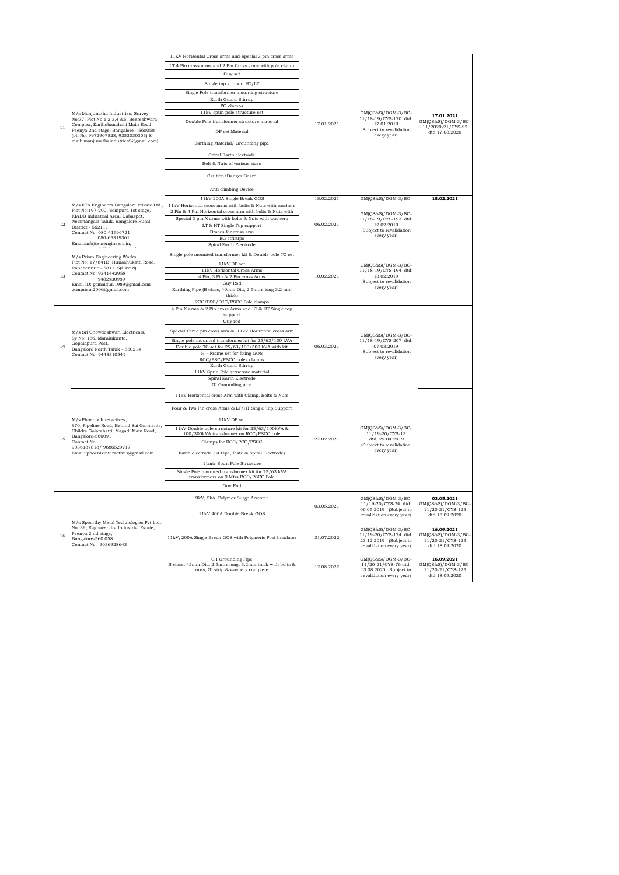|    |                                                                                                                                                          | 11KV Horizontal Cross arms and Special 3 pin cross arms                                                              |            |                                                                                                   |                                                                          |
|----|----------------------------------------------------------------------------------------------------------------------------------------------------------|----------------------------------------------------------------------------------------------------------------------|------------|---------------------------------------------------------------------------------------------------|--------------------------------------------------------------------------|
|    |                                                                                                                                                          | LT 4 Pin cross arms and 2 Pin Cross arms with pole clamp                                                             |            |                                                                                                   |                                                                          |
|    |                                                                                                                                                          | Guy set                                                                                                              |            |                                                                                                   |                                                                          |
|    |                                                                                                                                                          | Single top support HT/LT                                                                                             |            |                                                                                                   |                                                                          |
|    |                                                                                                                                                          | Single Pole transformer mounting structure                                                                           |            |                                                                                                   |                                                                          |
|    |                                                                                                                                                          | Earth Guard Stirrup                                                                                                  |            |                                                                                                   |                                                                          |
|    |                                                                                                                                                          | PG clamps                                                                                                            |            |                                                                                                   |                                                                          |
|    | M/s Manjunatha Industries, Survey<br>No:77, Plot No:1,2,3,4 &5, Beereshwara                                                                              | 11kV spun pole structure set                                                                                         |            | GM(QS&S)/DGM-3/BC-<br>11/18-19/CYS-170 dtd:                                                       | 17.01.2021                                                               |
| 11 | Complex, Karihobanahalli Main Road,                                                                                                                      | Double Pole transformer structure material                                                                           | 17.01.2021 | 17.01.2019                                                                                        | GM(QS&S)/DGM-3/BC-<br>11/2020-21/CYS-92                                  |
|    | Peenya 2nd stage, Bangalore - 560058<br>(ph No: 9972907828, 9353030303)(E-                                                                               | DP set Material                                                                                                      |            | (Subject to revalidation<br>every year)                                                           | dtd:17.08.2020                                                           |
|    | mail: manjunathaindutries9@gmail.com)                                                                                                                    | Earthing Material/ Grounding pipe                                                                                    |            |                                                                                                   |                                                                          |
|    |                                                                                                                                                          | Spiral Earth electrode                                                                                               |            |                                                                                                   |                                                                          |
|    |                                                                                                                                                          | Bolt & Nuts of various sizes                                                                                         |            |                                                                                                   |                                                                          |
|    |                                                                                                                                                          | Caution/Danger Board                                                                                                 |            |                                                                                                   |                                                                          |
|    |                                                                                                                                                          | Anti climbing Device                                                                                                 |            |                                                                                                   |                                                                          |
|    |                                                                                                                                                          | 11kV 200A Single Break GOS                                                                                           | 18.02.2021 | GM(QS&S)/DGM-3/BC-                                                                                | 18.02.2021                                                               |
|    | M/s ETA Engineers Bangalore Private Ltd.,                                                                                                                | 11kV Horizontal cross arms with bolts & Nuts with washers                                                            |            |                                                                                                   |                                                                          |
|    | Plot No:197-200, Sompura 1st stage,<br>KIADB Industrial Area, Dabaspet,                                                                                  | 2 Pin & 4 Pin Horizontal cross arm with bolts & Nuts with                                                            |            | GM(QS&S)/DGM-3/BC-                                                                                |                                                                          |
| 12 | Nelamangala Taluk, Bangalore Rural                                                                                                                       | Special 3 pin X arms with bolts & Nuts with washers                                                                  | 06.02.2021 | 11/18-19/CYS-193 dtd:                                                                             |                                                                          |
|    | District - 562111                                                                                                                                        | LT & HT Single Top support                                                                                           |            | 12.02.2019<br>(Subject to revalidation                                                            |                                                                          |
|    | Contact No: 080-41696721<br>080-65319361                                                                                                                 | Braces for cross arm<br>EG strirups                                                                                  |            | every year)                                                                                       |                                                                          |
|    | Email:info@etaengineers.in,                                                                                                                              | Spiral Earth Electrode                                                                                               |            |                                                                                                   |                                                                          |
|    | M/s Prism Engineering Works,                                                                                                                             | Single pole mounted transformer kit & Double pole TC set                                                             |            |                                                                                                   |                                                                          |
|    | Plot No: 17/841B, Hunashukatti Road,                                                                                                                     | $11\mathrm{kV}$ DP set                                                                                               |            | GM(QS&S)/DGM-3/BC-                                                                                |                                                                          |
|    | Ranebennur - 581115(Haveri)<br>Contact No: 9341442958                                                                                                    | 11kV Horizontal Cross Arms                                                                                           | 10.02.2021 | 11/18-19/CYS-194 dtd:<br>13.02.2019<br>(Subject to revalidation<br>every year)                    |                                                                          |
| 13 | 9482930989                                                                                                                                               | 4 Pin, 3 Pin & 2 Pin cross Arms                                                                                      |            |                                                                                                   |                                                                          |
|    | Email ID: gcmaidur.1989@gmail.com<br>gcmprism2006@gmail.com                                                                                              | Guy Rod                                                                                                              |            |                                                                                                   |                                                                          |
|    |                                                                                                                                                          | Earthing Pipe (B class, 40mm Dia, 2.5mtrs long 3.2 mm<br>thick)                                                      |            |                                                                                                   |                                                                          |
|    |                                                                                                                                                          | RCC/PSC/PCC/PSCC Pole clamps                                                                                         |            |                                                                                                   |                                                                          |
|    |                                                                                                                                                          | 4 Pin X arms & 2 Pin cross Arms and LT & HT Single top                                                               |            |                                                                                                   |                                                                          |
|    |                                                                                                                                                          | support<br>Guy rod                                                                                                   |            |                                                                                                   |                                                                          |
|    |                                                                                                                                                          |                                                                                                                      |            |                                                                                                   |                                                                          |
|    | M/s Sri Chowdeshwari Electricals,<br>Sy No: 186, Maralukunte,                                                                                            | Special Three pin cross arm & 11kV Horizontal cross arm                                                              |            | $GM(QS&S)/DGM-3/BC-$                                                                              |                                                                          |
|    | Gopalapura Post,                                                                                                                                         | Single pole mounted transformer kit for 25/63/100 kVA                                                                | 06.03.2021 | 11/18-19/CYS-207 dtd:<br>07.03.2019<br>(Subject to revalidation<br>every year)                    |                                                                          |
|    | Bangalore North Taluk - 560214<br>Contact No: 9448310541                                                                                                 | Double pole TC set for 25/63/100/300 kVA with kit<br>H - Frame set for fixing GOS                                    |            |                                                                                                   |                                                                          |
|    |                                                                                                                                                          | RCC/PSC/PSCC poles clamps                                                                                            |            |                                                                                                   |                                                                          |
|    |                                                                                                                                                          | Earth Guard Stirrup                                                                                                  |            |                                                                                                   |                                                                          |
|    |                                                                                                                                                          | 11kV Spun Pole structure material<br>Spiral Earth Electrode                                                          |            |                                                                                                   |                                                                          |
|    |                                                                                                                                                          | GI Grounding pipe                                                                                                    |            |                                                                                                   |                                                                          |
|    |                                                                                                                                                          | 11kV Horizontal cross Arm with Clamp, Bolts & Nuts                                                                   |            |                                                                                                   |                                                                          |
|    |                                                                                                                                                          | Four & Two Pin cross Arms & LT/HT Single Top Support                                                                 |            |                                                                                                   |                                                                          |
|    | M/s Phoenix Interactives,                                                                                                                                | $11\mathrm{kV}$ DP set                                                                                               |            |                                                                                                   |                                                                          |
|    | #70, Pipeline Road, Behind Sai Garments,<br>Chikka Golarahatti, Magadi Main Road,                                                                        | 11kV Double pole structure kit for 25/63/100kVA &                                                                    |            | $GM(QS&S)/DGM-3/BC-$                                                                              |                                                                          |
| 15 | Bangalore-560091                                                                                                                                         | 100/300kVA transformer on RCC/PSCC pole                                                                              | 27.02.2021 | 11/19-20/CYS-13<br>dtd: 29.04.2019                                                                |                                                                          |
|    | Contact No:<br>9036187818/9686529717                                                                                                                     | Clamps for RCC/PCC/PSCC                                                                                              |            | (Subject to revalidation                                                                          |                                                                          |
|    | Email: phoenixinteractives@gmail.com                                                                                                                     | Earth electrode (GI Pipe, Plate & Spiral Electrode)                                                                  |            | every year)                                                                                       |                                                                          |
|    |                                                                                                                                                          | 11mtr Spun Pole Structure                                                                                            |            |                                                                                                   |                                                                          |
|    |                                                                                                                                                          | Single Pole mounted transformer kit for 25/63 kVA                                                                    |            |                                                                                                   |                                                                          |
|    |                                                                                                                                                          | transformers on 9 Mtrs RCC/PSCC Pole                                                                                 |            |                                                                                                   |                                                                          |
|    |                                                                                                                                                          | Guy Rod                                                                                                              |            |                                                                                                   |                                                                          |
|    |                                                                                                                                                          | 9kV, 5kA, Polymer Surge Arrester                                                                                     |            | GM(QS&S)/DGM-3/BC-<br>11/19-20/CYS-24 dtd:                                                        | 03.05.2021<br>GM(QS&S)/DGM-3/BC-                                         |
|    |                                                                                                                                                          | 11kV 400A Double Break GOS                                                                                           | 03.05.2021 | 06.05.2019 (Subject to<br>revalidation every year)                                                | 11/20-21/CYS-125<br>dtd:18.09.2020                                       |
| 16 | M/s Spoorthy Metal Technologies Pvt Ltd.,<br>No: 39, Raghavendra Industrial Estate,<br>Peenya 2 nd stage,<br>Bangalore-560 058<br>Contact No: 9036928643 | 11kV, 200A Single Break GOS with Polymeric Post Insulator                                                            | 31.07.2022 | GM(QS&S)/DGM-3/BC-<br>11/19-20/CYS-174 dtd:<br>23.12.2019 (Subject to<br>revalidation every year) | 16.09.2021<br>$GM(QS&S)/DGM-3/BC-$<br>11/20-21/CYS-125<br>dtd:18.09.2020 |
|    |                                                                                                                                                          | G I Grounding Pipe<br>B-class, 42mm Dia, 2.5mtrs long, 3.2mm thick with bolts &<br>nuts, GI strip & washers complete | 12.08.2022 | GM(QS&S)/DGM-3/BC-<br>11/20-21/CYS-76 dtd:<br>13.08.2020 (Subject to<br>revalidation every year)  | 16.09.2021<br>GM(QS&S)/DGM-3/BC-<br>11/20-21/CYS-125<br>dtd:18.09.2020   |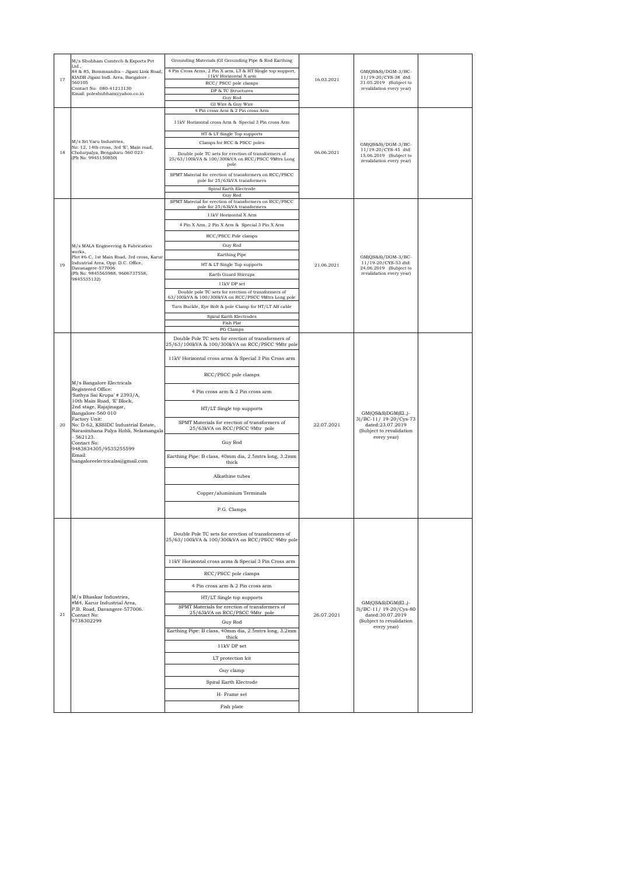|    | M/s Shubham Comtech & Exports Pvt                                                | Grounding Materials (GI Grounding Pipe & Rod Earthing                                                  |            |                                                    |  |
|----|----------------------------------------------------------------------------------|--------------------------------------------------------------------------------------------------------|------------|----------------------------------------------------|--|
|    | Ltd.,<br>84 & 85, Bommsandra - Jigani Link Road,                                 | 4 Pin Cross Arms, 2 Pin X arm, LT & HT Single top support,                                             |            | GM(QS&S)/DGM-3/BC-                                 |  |
| 17 | KIADB Jigani Indl. Area, Bangalore -<br>560105                                   | 11kV Horizontal X arm<br>RCC/PSCC pole clamps                                                          | 16.03.2021 | 11/19-20/CYS-38 dtd:<br>31.05.2019 (Subject to     |  |
|    | Contact No: 080-41213130<br>Email: poleshubham@yahoo.co.in                       | DP & TC Structures                                                                                     |            | revalidation every year)                           |  |
|    |                                                                                  | Guy Rod<br>GI Wire & Guy Wire                                                                          |            |                                                    |  |
|    |                                                                                  | 4 Pin cross Arm & 2 Pin cross Arm                                                                      |            |                                                    |  |
|    |                                                                                  | 11kV Horizontal cross Arm & Special 3 Pin cross Arm                                                    |            |                                                    |  |
|    |                                                                                  |                                                                                                        |            |                                                    |  |
|    | M/s Sri Varu Industries,                                                         | HT & LT Single Top supports<br>Clamps for RCC & PSCC poles                                             |            | GM(QS&S)/DGM-3/BC-                                 |  |
| 18 | No: 12, 14th cross, 3rd 'E', Main road,<br>Cholurpalya, Bengaluru-560 023        | Double pole TC sets for erection of transformers of                                                    | 06.06.2021 | 11/19-20/CYS-45 dtd:                               |  |
|    | (Ph No: 9945150850)                                                              | 25/63/100kVA & 100/300kVA on RCC/PSCC 9Mtrs Long                                                       |            | 15.06.2019 (Subject to<br>revalidation every year) |  |
|    |                                                                                  | pole                                                                                                   |            |                                                    |  |
|    |                                                                                  | SPMT Material for erection of transformers on RCC/PSCC<br>pole for 25/63kVA transformers               |            |                                                    |  |
|    |                                                                                  | Spiral Earth Electrode                                                                                 |            |                                                    |  |
|    |                                                                                  | Guy Rod<br>SPMT Material for erection of transformers on RCC/PSCC                                      |            |                                                    |  |
|    |                                                                                  | pole for 25/63kVA transformers                                                                         |            |                                                    |  |
|    |                                                                                  | 11kV Horizontal X Arm                                                                                  |            |                                                    |  |
|    |                                                                                  | 4 Pin X Arm, 2 Pin X Arm & Special 3 Pin X Arm                                                         |            |                                                    |  |
|    |                                                                                  | RCC/PSCC Pole clamps                                                                                   |            |                                                    |  |
|    | M/s MALA Engineering & Fabrication<br>works,                                     | Guy Rod                                                                                                |            |                                                    |  |
|    | Plot #6-C, 1st Main Road, 3rd cross, Karur<br>Industrial Area, Opp: D.C. Office, | Earthing Pipe                                                                                          |            | GM(QS&S)/DGM-3/BC-<br>11/19-20/CYS-53 dtd:         |  |
| 19 | Davanagere-577006                                                                | HT & LT Single Top supports                                                                            | 21.06.2021 | 24.06.2019 (Subject to                             |  |
|    | (Ph No: 9845565988, 9606737558,<br>9845535132)                                   | Earth Guard Stirrups                                                                                   |            | revalidation every year)                           |  |
|    |                                                                                  | 11kV DP set<br>Double pole TC sets for erection of transformers of                                     |            |                                                    |  |
|    |                                                                                  | 63/100kVA & 100/300kVA on RCC/PSCC 9Mtrs Long pole                                                     |            |                                                    |  |
|    |                                                                                  | Turn Buckle, Eye Bolt & pole Clamp for HT/LT AB cable                                                  |            |                                                    |  |
|    |                                                                                  | Spiral Earth Electrodes                                                                                |            |                                                    |  |
|    |                                                                                  | Fish Plat<br>PG Clamps                                                                                 |            |                                                    |  |
|    |                                                                                  | Double Pole TC sets for erection of transformers of                                                    |            |                                                    |  |
|    |                                                                                  | 25/63/100kVA & 100/300kVA on RCC/PSCC 9Mtr pole                                                        |            |                                                    |  |
|    | M/s Bangalore Electricals<br>Registered Office:                                  | 11kV Horizontal cross arms & Special 3 Pin Cross arm                                                   |            |                                                    |  |
|    |                                                                                  |                                                                                                        |            |                                                    |  |
|    |                                                                                  | RCC/PSCC pole clamps                                                                                   |            |                                                    |  |
|    |                                                                                  |                                                                                                        |            |                                                    |  |
|    | 'Sathya Sai Krupa' # 2393/A,<br>10th Main Road, 'E' Block,                       | 4 Pin cross arm & 2 Pin cross arm                                                                      |            |                                                    |  |
|    | 2nd stage, Rajajinagar,                                                          | HT/LT Single top supports                                                                              |            |                                                    |  |
|    | Bangalore-560 010<br>Factory Unit:                                               |                                                                                                        |            | GM(QS&S)DGM(El.,)-<br>3)/BC-11/ 19-20/Cys-73       |  |
| 20 | No: D-62, KSSIDC Industrial Estate,<br>Narasimhana Palya Hobli, Nelamangala      | SPMT Materials for erection of transformers of<br>25/63kVA on RCC/PSCC 9Mtr pole                       | 22.07.2021 | dated:23.07.2019<br>(Subject to revalidation       |  |
|    | $-562123.$                                                                       |                                                                                                        |            | every year)                                        |  |
|    | Contact No:<br>9483834305/9535255599                                             | Guy Rod                                                                                                |            |                                                    |  |
|    | Email:<br>bangaloreelectricalss@gmail.com                                        | Earthing Pipe: B class, 40mm dia, 2.5mtrs long, 3.2mm<br>thick                                         |            |                                                    |  |
|    |                                                                                  |                                                                                                        |            |                                                    |  |
|    |                                                                                  | Alkathine tubes                                                                                        |            |                                                    |  |
|    |                                                                                  |                                                                                                        |            |                                                    |  |
|    |                                                                                  | Copper/aluminium Terminals                                                                             |            |                                                    |  |
|    |                                                                                  | P.G. Clamps                                                                                            |            |                                                    |  |
|    |                                                                                  |                                                                                                        |            |                                                    |  |
|    |                                                                                  |                                                                                                        |            |                                                    |  |
|    |                                                                                  | Double Pole TC sets for erection of transformers of<br>25/63/100kVA & 100/300kVA on RCC/PSCC 9Mtr pole |            |                                                    |  |
|    |                                                                                  |                                                                                                        |            |                                                    |  |
|    |                                                                                  | 11kV Horizontal cross arms & Special 3 Pin Cross arm                                                   |            |                                                    |  |
|    |                                                                                  |                                                                                                        |            |                                                    |  |
|    |                                                                                  | RCC/PSCC pole clamps                                                                                   |            |                                                    |  |
|    |                                                                                  | 4 Pin cross arm & 2 Pin cross arm                                                                      |            |                                                    |  |
|    | M/s Bhaskar Industries,                                                          | HT/LT Single top supports                                                                              |            |                                                    |  |
|    | #M4, Karur Industrial Area,<br>P.B. Road, Davangere-577006.                      | SPMT Materials for erection of transformers of                                                         |            | GM(QS&S)DGM(El.,)-<br>3)/BC-11/ 19-20/Cys-80       |  |
| 21 | Contact No:<br>9738302299                                                        | 25/63kVA on RCC/PSCC 9Mtr pole<br>Guy Rod                                                              | 26.07.2021 | dated:30.07.2019<br>(Subject to revalidation       |  |
|    |                                                                                  | Earthing Pipe: B class, 40mm dia, 2.5mtrs long, 3.2mm                                                  |            | every year)                                        |  |
|    |                                                                                  | thick                                                                                                  |            |                                                    |  |
|    |                                                                                  | 11kV DP set                                                                                            |            |                                                    |  |
|    |                                                                                  | LT protection kit                                                                                      |            |                                                    |  |
|    |                                                                                  | Guy clamp                                                                                              |            |                                                    |  |
|    |                                                                                  |                                                                                                        |            |                                                    |  |
|    |                                                                                  | Spiral Earth Electrode                                                                                 |            |                                                    |  |
|    |                                                                                  | H- Frame set                                                                                           |            |                                                    |  |
|    |                                                                                  | Fish plate                                                                                             |            |                                                    |  |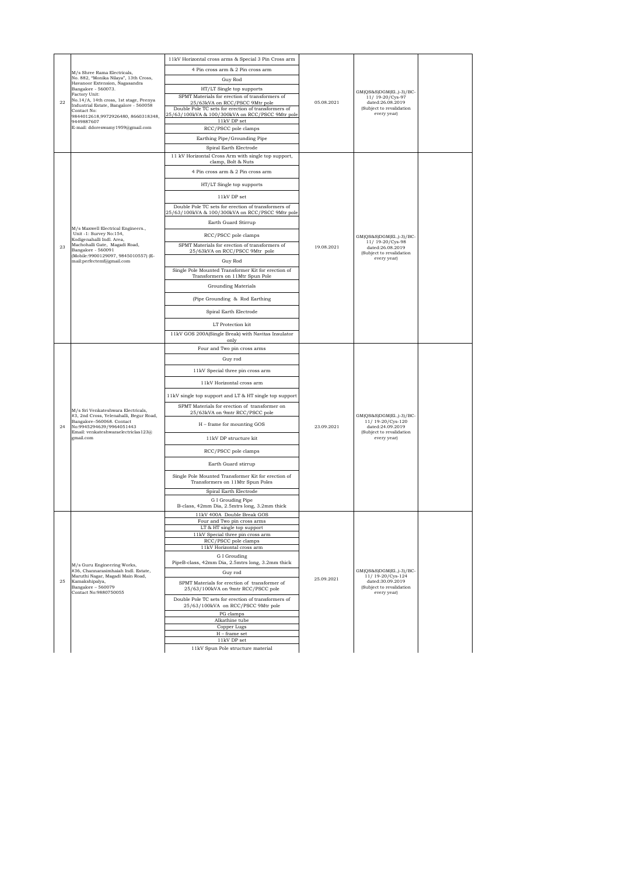|    | M/s Shree Rama Electricals,<br>No. 882, "Monika Nilaya", 13th Cross,<br>Havanoor Extension, Nagasandra | 11kV Horizontal cross arms & Special 3 Pin Cross arm                                                                             |            |                                                                                                             |  |
|----|--------------------------------------------------------------------------------------------------------|----------------------------------------------------------------------------------------------------------------------------------|------------|-------------------------------------------------------------------------------------------------------------|--|
|    |                                                                                                        | 4 Pin cross arm & 2 Pin cross arm                                                                                                |            |                                                                                                             |  |
|    |                                                                                                        | Guy Rod                                                                                                                          |            | GM(QS&S)DGM(El.,)-3)/BC-                                                                                    |  |
|    | Bangalore - 560073.<br>Factory Unit:                                                                   | HT/LT Single top supports                                                                                                        |            |                                                                                                             |  |
| 22 | No.14/A, 14th cross, 1st stage, Peenya<br>Industrial Estate, Bangalore - 560058                        | SPMT Materials for erection of transformers of<br>25/63kVA on RCC/PSCC 9Mtr pole                                                 | 05.08.2021 | 11/19-20/Cys-97<br>dated:26.08.2019                                                                         |  |
|    | Contact No:<br>9844012618,9972926480, 8660318348,<br>9449887607                                        | Double Pole TC sets for erection of transformers of<br>25/63/100kVA & 100/300kVA on RCC/PSCC 9Mtr pole<br>$11\mathrm{kV}$ DP set |            | (Subject to revalidation<br>every year)                                                                     |  |
|    | E-mail: ddoreswamy1959@gmail.com                                                                       | RCC/PSCC pole clamps                                                                                                             |            |                                                                                                             |  |
|    |                                                                                                        | Earthing Pipe/Grounding Pipe                                                                                                     |            |                                                                                                             |  |
|    |                                                                                                        | Spiral Earth Electrode                                                                                                           |            |                                                                                                             |  |
|    |                                                                                                        | 11 kV Horizontal Cross Arm with single top support,<br>clamp, Bolt & Nuts                                                        |            |                                                                                                             |  |
|    |                                                                                                        | 4 Pin cross arm & 2 Pin cross arm                                                                                                |            |                                                                                                             |  |
|    |                                                                                                        | HT/LT Single top supports                                                                                                        |            |                                                                                                             |  |
|    |                                                                                                        | 11kV DP set                                                                                                                      |            |                                                                                                             |  |
|    |                                                                                                        | Double Pole TC sets for erection of transformers of                                                                              |            |                                                                                                             |  |
|    |                                                                                                        | 25/63/100kVA & 100/300kVA on RCC/PSCC 9Mtr pole                                                                                  |            |                                                                                                             |  |
|    | M/s Maxwell Electrical Engineers.,                                                                     | Earth Guard Stirrup                                                                                                              |            |                                                                                                             |  |
|    | Unit -1: Survey No:154,<br>Kodigenahalli Indl. Area,                                                   | RCC/PSCC pole clamps                                                                                                             |            | GM(QS&S)DGM(El.,)-3)/BC-<br>11/19-20/Cys-98                                                                 |  |
| 23 | Machohalli Gate, Magadi Road,<br>Bangalore - 560091                                                    | SPMT Materials for erection of transformers of<br>25/63kVA on RCC/PSCC 9Mtr pole                                                 | 19.08.2021 | dated:26.08.2019<br>(Subject to revalidation                                                                |  |
|    | (Mobile:9900129097, 9845010557) (E-<br>mail:perfectemf@gmail.com                                       | Guy Rod                                                                                                                          |            | every year)                                                                                                 |  |
|    |                                                                                                        | Single Pole Mounted Transformer Kit for erection of                                                                              |            |                                                                                                             |  |
|    |                                                                                                        | Transformers on 11Mtr Spun Pole                                                                                                  |            |                                                                                                             |  |
|    |                                                                                                        | Grounding Materials                                                                                                              |            |                                                                                                             |  |
|    |                                                                                                        | (Pipe Grounding & Rod Earthing                                                                                                   |            |                                                                                                             |  |
|    |                                                                                                        | Spiral Earth Electrode                                                                                                           |            |                                                                                                             |  |
|    |                                                                                                        | LT Protection kit                                                                                                                |            |                                                                                                             |  |
|    |                                                                                                        | 11kV GOS 200A(Single Break) with Navitas Insulator<br>only                                                                       |            |                                                                                                             |  |
|    |                                                                                                        | Four and Two pin cross arms                                                                                                      |            |                                                                                                             |  |
|    |                                                                                                        | Guy rod                                                                                                                          |            |                                                                                                             |  |
|    |                                                                                                        | 11kV Special three pin cross arm                                                                                                 |            |                                                                                                             |  |
|    |                                                                                                        | 11kV Horizontal cross arm                                                                                                        |            |                                                                                                             |  |
|    |                                                                                                        |                                                                                                                                  |            | GM(QS&S)DGM(El.,)-3)/BC-<br>11/19-20/Cys-120<br>dated:24.09.2019<br>(Subject to revalidation<br>every year) |  |
|    |                                                                                                        | 11kV single top support and LT & HT single top support                                                                           |            |                                                                                                             |  |
|    | M/s Sri Venkateshwara Electricals,<br>#3, 2nd Cross, Yelenahalli, Begur Road,                          | SPMT Materials for erection of transformer on<br>25/63kVA on 9mtr RCC/PSCC pole                                                  |            |                                                                                                             |  |
| 24 | Bangalore-560068. Contact<br>No:9945294639/9964051443<br>Email: venkateshwaraelectriclas123@           | H - frame for mounting GOS                                                                                                       | 23.09.2021 |                                                                                                             |  |
|    | gmail.com                                                                                              | 11kV DP structure kit                                                                                                            |            |                                                                                                             |  |
|    |                                                                                                        | RCC/PSCC pole clamps                                                                                                             |            |                                                                                                             |  |
|    |                                                                                                        | Earth Guard stirrup                                                                                                              |            |                                                                                                             |  |
|    |                                                                                                        | Single Pole Mounted Transformer Kit for erection of<br>Transformers on 11Mtr Spun Poles                                          |            |                                                                                                             |  |
|    |                                                                                                        | Spiral Earth Electrode                                                                                                           |            |                                                                                                             |  |
|    |                                                                                                        | G I Grouding Pipe<br>B-class, 42mm Dia, 2.5mtrs long, 3.2mm thick                                                                |            |                                                                                                             |  |
|    |                                                                                                        | 11kV 400A Double Break GOS                                                                                                       |            |                                                                                                             |  |
|    |                                                                                                        | Four and Two pin cross arms<br>LT & HT single top support                                                                        |            |                                                                                                             |  |
|    |                                                                                                        | 11kV Special three pin cross arm                                                                                                 |            |                                                                                                             |  |
|    |                                                                                                        | RCC/PSCC pole clamps<br>11kV Horizontal cross arm                                                                                |            |                                                                                                             |  |
|    |                                                                                                        | G I Grouding                                                                                                                     |            |                                                                                                             |  |
|    | M/s Guru Engineering Works,                                                                            | PipeB-class, 42mm Dia, 2.5mtrs long, 3.2mm thick                                                                                 |            |                                                                                                             |  |
|    | #36, Channarasimhaiah Indl. Estate,<br>Maruthi Nagar, Magadi Main Road,                                | Guy rod                                                                                                                          | 25.09.2021 | GM(QS&S)DGM(El.,)-3)/BC-<br>11/ 19-20/Cvs-124                                                               |  |
| 25 | Kamakshipalya,<br>$\textbf{Bangalore} - 560079$<br>Contact No:9880750055                               | SPMT Materials for erection of transformer of<br>25/63/100kVA on 9mtr RCC/PSCC pole                                              |            | dated:30.09.2019<br>(Subject to revalidation<br>every year)                                                 |  |
|    |                                                                                                        | Double Pole TC sets for erection of transformers of<br>25/63/100kVA on RCC/PSCC 9Mtr pole                                        |            |                                                                                                             |  |
|    |                                                                                                        | PG clamps                                                                                                                        |            |                                                                                                             |  |
|    |                                                                                                        | Alkathine tube<br>Copper Lugs                                                                                                    |            |                                                                                                             |  |
|    |                                                                                                        | $H$ – frame set                                                                                                                  |            |                                                                                                             |  |
|    |                                                                                                        | $11\mathrm{kV}$ DP set<br>11kV Spun Pole structure material                                                                      |            |                                                                                                             |  |
|    |                                                                                                        |                                                                                                                                  |            |                                                                                                             |  |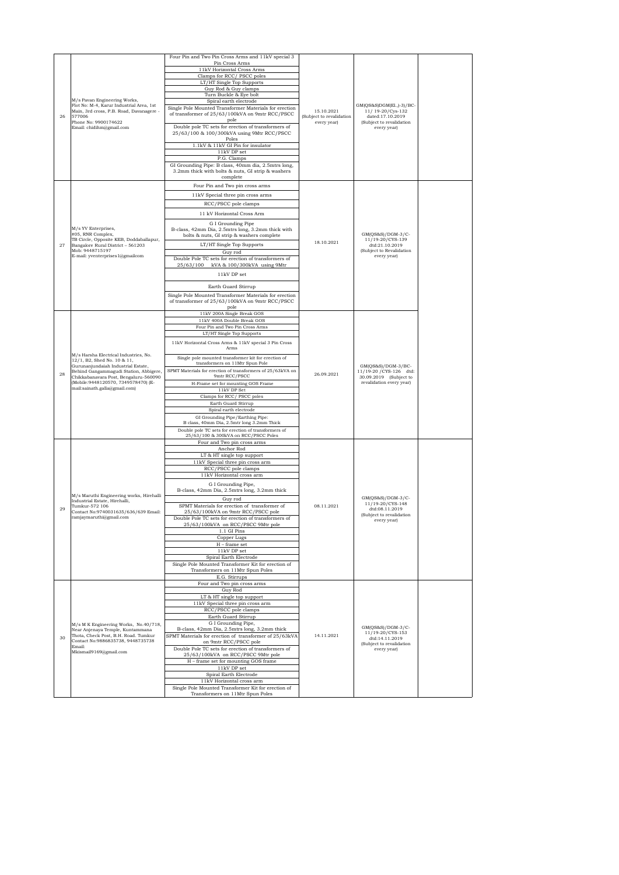|    |                                                                                                                                                                                                                                                                        | Four Pin and Two Pin Cross Arms and 11kV special 3                                                        |                                        |                                                                   |  |
|----|------------------------------------------------------------------------------------------------------------------------------------------------------------------------------------------------------------------------------------------------------------------------|-----------------------------------------------------------------------------------------------------------|----------------------------------------|-------------------------------------------------------------------|--|
|    |                                                                                                                                                                                                                                                                        | Pin Cross Arms                                                                                            |                                        |                                                                   |  |
|    |                                                                                                                                                                                                                                                                        | 11kV Horizontal Cross Arms<br>Clamps for RCC/PSCC poles                                                   |                                        |                                                                   |  |
|    |                                                                                                                                                                                                                                                                        | LT/HT Single Top Supports                                                                                 |                                        |                                                                   |  |
|    |                                                                                                                                                                                                                                                                        | Guy Rod & Guy clamps                                                                                      |                                        |                                                                   |  |
|    | M/s Pavan Engineering Works,                                                                                                                                                                                                                                           | Turn Buckle & Eye bolt<br>Spiral earth electrode                                                          |                                        |                                                                   |  |
| 26 | Flot No: M-4, Karur Industrial Area, 1st<br>Main, 3rd cross, P.B. Road, Davanagere -<br>577006                                                                                                                                                                         | Single Pole Mounted Transformer Materials for erection<br>of transformer of 25/63/100kVA on 9mtr RCC/PSCC | 15.10.2021<br>(Subject to revalidation | GM(QS&S)DGM(El.,)-3)/BC-<br>11/ 19-20/Cys-132<br>dated:17.10.2019 |  |
|    | Phone No: 9900174622<br>Email: chidihm@gmail.com                                                                                                                                                                                                                       | pole<br>Double pole TC sets for erection of transformers of<br>25/63/100 & 100/300kVA using 9Mtr RCC/PSCC | every year)                            | (Subject to revalidation<br>every year)                           |  |
|    |                                                                                                                                                                                                                                                                        | Poles<br>1.1kV & 11kV GI Pin for insulator                                                                |                                        |                                                                   |  |
|    |                                                                                                                                                                                                                                                                        | $11\mathrm{kV}$ DP set                                                                                    |                                        |                                                                   |  |
|    |                                                                                                                                                                                                                                                                        | P.G. Clamps<br>GI Grounding Pipe: B class, 40mm dia, 2.5mtrs long,                                        |                                        |                                                                   |  |
|    |                                                                                                                                                                                                                                                                        | 3.2mm thick with bolts & nuts, GI strip & washers<br>complete                                             |                                        |                                                                   |  |
|    |                                                                                                                                                                                                                                                                        | Four Pin and Two pin cross arms                                                                           |                                        |                                                                   |  |
|    |                                                                                                                                                                                                                                                                        | 11kV Special three pin cross arms                                                                         |                                        |                                                                   |  |
|    |                                                                                                                                                                                                                                                                        | RCC/PSCC pole clamps                                                                                      |                                        |                                                                   |  |
|    |                                                                                                                                                                                                                                                                        | 11 kV Horizontal Cross Arm                                                                                |                                        |                                                                   |  |
|    |                                                                                                                                                                                                                                                                        | G I Grounding Pipe                                                                                        |                                        |                                                                   |  |
|    | M/s YV Enterprises,<br>#05, RNR Complex,                                                                                                                                                                                                                               | B-class, 42mm Dia, 2.5mtrs long, 3.2mm thick with<br>bolts & nuts, GI strip & washers complete            |                                        | GM(QS&S)/DGM-3/C-                                                 |  |
| 27 | TB Circle, Opposite KEB, Doddaballapur,                                                                                                                                                                                                                                | LT/HT Single Top Supports                                                                                 | 18.10.2021                             | 11/19-20/CYS-139<br>dtd:21.10.2019                                |  |
|    | Bangalore Rural District - 561203<br>Mob: 9448715197                                                                                                                                                                                                                   | Guy rod                                                                                                   |                                        | (Subject to Revalidation                                          |  |
|    | E-mail: yventerprises1@gmailcom                                                                                                                                                                                                                                        | Double Pole TC sets for erection of transformers of                                                       |                                        | every year)                                                       |  |
|    |                                                                                                                                                                                                                                                                        | 25/63/100 kVA & 100/300kVA using 9Mtr                                                                     |                                        |                                                                   |  |
|    |                                                                                                                                                                                                                                                                        | 11kV DP set                                                                                               |                                        |                                                                   |  |
|    |                                                                                                                                                                                                                                                                        | Earth Guard Stirrup                                                                                       |                                        |                                                                   |  |
|    |                                                                                                                                                                                                                                                                        | Single Pole Mounted Transformer Materials for erection                                                    |                                        |                                                                   |  |
|    |                                                                                                                                                                                                                                                                        | of transformer of 25/63/100kVA on 9mtr RCC/PSCC                                                           |                                        |                                                                   |  |
|    |                                                                                                                                                                                                                                                                        | pole<br>11kV 200A Single Break GOS                                                                        |                                        |                                                                   |  |
|    |                                                                                                                                                                                                                                                                        | 11kV 400A Double Break GOS                                                                                |                                        |                                                                   |  |
|    |                                                                                                                                                                                                                                                                        | Four Pin and Two Pin Cross Arms<br>LT/HT Single Top Supports                                              |                                        |                                                                   |  |
|    | M/s Harsha Electrical Industries, No.<br>12/1, B2, Shed No. 10 & 11,<br>Gurunanjundaiah Industrial Estate,<br>Behind Gangammagudi Station, Abbigere,<br>Chikkabanavara Post, Bengaluru-560090<br>(Mobile: 9448120570, 7349578470) (E-<br>mail:sainath.galla@gmail.com) | 11kV Horizontal Cross Arms & 11kV special 3 Pin Cross                                                     |                                        |                                                                   |  |
|    |                                                                                                                                                                                                                                                                        | Arms                                                                                                      |                                        |                                                                   |  |
|    |                                                                                                                                                                                                                                                                        | Single pole mounted transformer kit for erection of                                                       |                                        |                                                                   |  |
|    |                                                                                                                                                                                                                                                                        | transformers on 11Mtr Spun Pole                                                                           |                                        | $GM(QS&S)/DGM-3/BC-$                                              |  |
| 28 |                                                                                                                                                                                                                                                                        | SPMT Materials for erection of transformers of 25/63kVA on<br>9mtr RCC/PSCC                               | 26.09.2021                             | 11/19-20 / CYS-126 dtd:<br>30.09.2019 (Subject to                 |  |
|    |                                                                                                                                                                                                                                                                        | H-Frame set for mounting GOS Frame                                                                        |                                        | revalidation every year)                                          |  |
|    |                                                                                                                                                                                                                                                                        | 11kV DP Set                                                                                               |                                        |                                                                   |  |
|    |                                                                                                                                                                                                                                                                        | Clamps for RCC/ PSCC poles<br>Earth Guard Stirrup                                                         |                                        |                                                                   |  |
|    |                                                                                                                                                                                                                                                                        | Spiral earth electrode                                                                                    |                                        |                                                                   |  |
|    |                                                                                                                                                                                                                                                                        | GI Grounding Pipe/Earthing Pipe:<br>B class, 40mm Dia, 2.5mtr long 3.2mm Thick                            |                                        |                                                                   |  |
|    |                                                                                                                                                                                                                                                                        | Double pole TC sets for erection of transformers of                                                       |                                        |                                                                   |  |
|    |                                                                                                                                                                                                                                                                        | 25/63/100 & 300kVA on RCC/PSCC Poles                                                                      |                                        |                                                                   |  |
|    |                                                                                                                                                                                                                                                                        | Four and Two pin cross arms<br>Anchor Rod                                                                 |                                        |                                                                   |  |
|    |                                                                                                                                                                                                                                                                        | LT & HT single top support                                                                                |                                        |                                                                   |  |
|    |                                                                                                                                                                                                                                                                        | 11kV Special three pin cross arm                                                                          |                                        |                                                                   |  |
|    |                                                                                                                                                                                                                                                                        | RCC/PSCC pole clamps<br>11kV Horizontal cross arm                                                         |                                        |                                                                   |  |
|    |                                                                                                                                                                                                                                                                        | G I Grounding Pipe,                                                                                       |                                        |                                                                   |  |
|    |                                                                                                                                                                                                                                                                        | B-class, 42mm Dia, 2.5mtrs long, 3.2mm thick                                                              |                                        |                                                                   |  |
|    | M/s Maruthi Engineering works, Hirehalli<br>Industrial Estate, Hirehalli,                                                                                                                                                                                              | Guy rod                                                                                                   |                                        | GM(QS&S)/DGM-3/C-<br>11/19-20/CYS-148                             |  |
| 29 | Tumkur-572 106<br>Contact No:9740031635/636/639 Email:                                                                                                                                                                                                                 | SPMT Materials for erection of transformer of<br>25/63/100kVA on 9mtr RCC/PSCC pole                       | 08.11.2021                             | dtd:08.11.2019                                                    |  |
|    | $\label{eq:ramj} \operatorname{ramjaymaruthi}\nolimits @ \operatorname{gmail.com}$                                                                                                                                                                                     | Double Pole TC sets for erection of transformers of                                                       |                                        | (Subject to revalidation<br>every year)                           |  |
|    |                                                                                                                                                                                                                                                                        | 25/63/100kVA on RCC/PSCC 9Mtr pole<br>1.1 GI Pins                                                         |                                        |                                                                   |  |
|    |                                                                                                                                                                                                                                                                        | Copper Lugs                                                                                               |                                        |                                                                   |  |
|    |                                                                                                                                                                                                                                                                        | $H$ – frame set                                                                                           |                                        |                                                                   |  |
|    |                                                                                                                                                                                                                                                                        | $11\mathrm{kV}$ DP set<br>Spiral Earth Electrode                                                          |                                        |                                                                   |  |
|    |                                                                                                                                                                                                                                                                        | Single Pole Mounted Transformer Kit for erection of                                                       |                                        |                                                                   |  |
|    |                                                                                                                                                                                                                                                                        | Transformers on 11Mtr Spun Poles                                                                          |                                        |                                                                   |  |
|    |                                                                                                                                                                                                                                                                        | E.G. Stirrups<br>Four and Two pin cross arms                                                              |                                        |                                                                   |  |
|    |                                                                                                                                                                                                                                                                        | Guy Rod                                                                                                   |                                        |                                                                   |  |
|    |                                                                                                                                                                                                                                                                        | LT & HT single top support                                                                                |                                        |                                                                   |  |
|    |                                                                                                                                                                                                                                                                        | 11kV Special three pin cross arm<br>RCC/PSCC pole clamps                                                  |                                        |                                                                   |  |
|    |                                                                                                                                                                                                                                                                        | Earth Guard Stirrup                                                                                       |                                        |                                                                   |  |
|    | M/s M K Engineering Works, No.40/718,                                                                                                                                                                                                                                  | G I Grounding Pipe,<br>B-class, 42mm Dia, 2.5mtrs long, 3.2mm thick                                       |                                        | GM(QS&S)/DGM-3/C-                                                 |  |
| 30 | Near Anjenaya Temple, Kuntammana<br>Thota, Check Post, B.H. Road. Tumkur                                                                                                                                                                                               | SPMT Materials for erection of transformer of 25/63kVA                                                    | 14.11.2021                             | 11/19-20/CYS-153<br>dtd:14.11.2019                                |  |
|    | Contact No:9886835738, 9448735738<br>Email:                                                                                                                                                                                                                            | on 9mtr RCC/PSCC pole                                                                                     |                                        | (Subject to revalidation                                          |  |
|    | Mkismail9169@gmail.com                                                                                                                                                                                                                                                 | Double Pole TC sets for erection of transformers of<br>25/63/100kVA on RCC/PSCC 9Mtr pole                 |                                        | every year)                                                       |  |
|    |                                                                                                                                                                                                                                                                        | H - frame set for mounting GOS frame                                                                      |                                        |                                                                   |  |
|    |                                                                                                                                                                                                                                                                        | $11\mathrm{kV}$ DP set<br>Spiral Earth Electrode                                                          |                                        |                                                                   |  |
|    |                                                                                                                                                                                                                                                                        | 11kV Horizontal cross arm                                                                                 |                                        |                                                                   |  |
|    |                                                                                                                                                                                                                                                                        | Single Pole Mounted Transformer Kit for erection of                                                       |                                        |                                                                   |  |
|    |                                                                                                                                                                                                                                                                        | Transformers on 11Mtr Spun Poles                                                                          |                                        |                                                                   |  |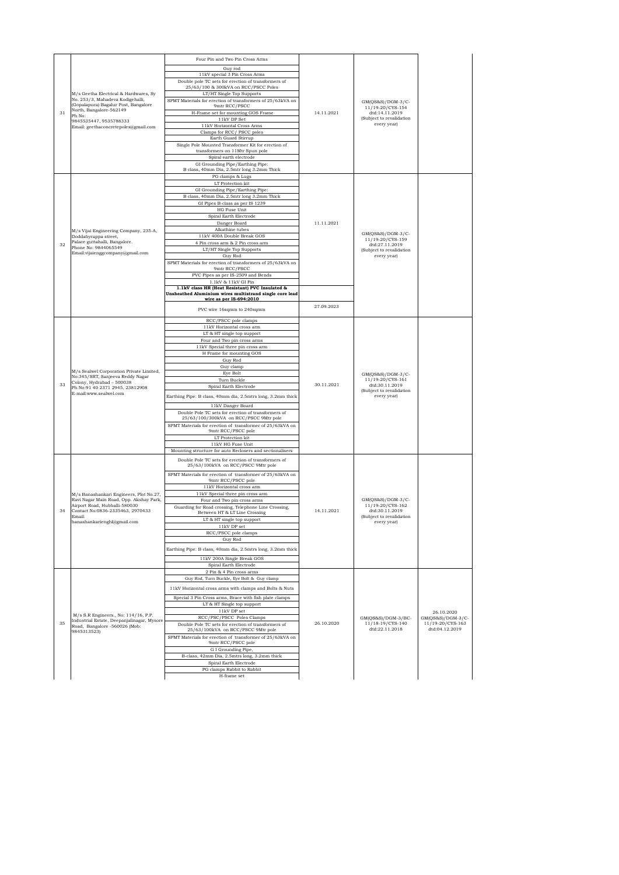| 31 | M/s Geetha Electrical & Hardwares, Sy<br>No. 253/3, Mahadeva Kodigehalli,<br>(Gopalapura) Bagalur Post, Bangalore<br>North, Bangalore-562149<br>Ph No:<br>9845535447, 9535788333<br>Email: geethaconcretepoles@gmail.com | Four Pin and Two Pin Cross Arms<br>Guy rod<br>11kV special 3 Pin Cross Arms<br>Double pole TC sets for erection of transformers of<br>25/63/100 & 300kVA on RCC/PSCC Poles<br>LT/HT Single Top Supports<br>SPMT Materials for erection of transformers of 25/63kVA on<br>9mtr RCC/PSCC<br>H-Frame set for mounting GOS Frame<br>$11\mathrm{kV}$ DP Set<br>$11\mathrm{kV}$ Horizontal Cross Arms<br>Clamps for RCC/ PSCC poles<br>Earth Guard Stirrup<br>Single Pole Mounted Transformer Kit for erection of<br>transformers on 11Mtr Spun pole<br>Spiral earth electrode<br>GI Grounding Pipe/Earthing Pipe:<br>B class, 40mm Dia, 2.5mtr long 3.2mm Thick | 14.11.2021               | GM(QS&S)/DGM-3/C-<br>11/19-20/CYS-154<br>dtd:14.11.2019<br>(Subject to revalidation<br>every year) |                                                                       |
|----|--------------------------------------------------------------------------------------------------------------------------------------------------------------------------------------------------------------------------|------------------------------------------------------------------------------------------------------------------------------------------------------------------------------------------------------------------------------------------------------------------------------------------------------------------------------------------------------------------------------------------------------------------------------------------------------------------------------------------------------------------------------------------------------------------------------------------------------------------------------------------------------------|--------------------------|----------------------------------------------------------------------------------------------------|-----------------------------------------------------------------------|
| 32 | M/s Vijai Engineering Company, 235-A,<br>Doddabyrappa street,<br>Palace guttahalli, Bangalore.<br>Phone No: 9844065549<br>Email: vijaienggcompany@gmail.com                                                              | PG clamps & Lugs<br>LT Protection kit<br>GI Grounding Pipe/Earthing Pipe:<br>B class, 40mm Dia, 2.5mtr long 3.2mm Thick<br>GI Pipes B-class as per IS 1239<br>HG Fuse Unit<br>Spiral Earth Electrode<br>Danger Board<br>Alkathine tubes<br>11kV 400A Double Break GOS<br>4 Pin cross arm & 2 Pin cross arm<br>LT/HT Single Top Supports<br>Guy Rod<br>SPMT Materials for erection of transformers of 25/63kVA on<br>9mtr RCC/PSCC<br>PVC Pipes as per IS-2509 and Bends<br>1.1kV & 11kV GI Pin<br>1.1kV class HR (Heat Resistant) PVC Insulated &<br>Unsheathed Aluminium wires multistrand single core lead<br>wire as per IS-694:2010                    | 11.11.2021<br>27.09.2023 | GM(QS&S)/DGM-3/C-<br>11/19-20/CYS-159<br>dtd:27.11.2019<br>(Subject to revalidation<br>every year) |                                                                       |
| 33 | M/s Sealwel Corporation Private Limited,<br>No:345/SRT, Sanjeeva Reddy Nagar<br>Colony, Hydrabad - 500038<br>Ph No:91 40 2371 2945, 23812908<br>E-mail:www.sealwel.com                                                   | PVC wire 16sqmm to 240sqmm<br>RCC/PSCC pole clamps<br>11kV Horizontal cross arm<br>LT & HT single top support<br>Four and Two pin cross arms<br>11kV Special three pin cross arm<br>H Frame for mounting GOS<br>Guy Rod<br>Guy clamp<br>Eye Bolt<br>Turn Buckle<br>Spiral Earth Electrode<br>Earthing Pipe: B class, 40mm dia, 2.5mtrs long, 3.2mm thick<br>11kV Danger Board<br>Double Pole TC sets for erection of transformers of<br>25/63/100/300kVA on RCC/PSCC 9Mtr pole<br>SPMT Materials for erection of transformer of 25/63kVA on<br>9mtr RCC/PSCC pole<br>LT Protection kit<br>11kV HG Fuse Unit                                                | 30.11.2021               | GM(QS&S)/DGM-3/C-<br>11/19-20/CYS-161<br>dtd:30.11.2019<br>(Subject to revalidation<br>every year) |                                                                       |
| 34 | M/s Banashankari Engineers, Plot No.27,<br>Ravi Nagar Main Road, Opp. Akshay Park,<br>Airport Road, Hubballi-580030<br>Contact No:0836-2335463, 2970433<br>Email:<br>banashankarienghl@gmail.com                         | Mounting structure for auto Reclosers and sectionalisers<br>Double Pole TC sets for erection of transformers of<br>25/63/100kVA on RCC/PSCC 9Mtr pole<br>SPMT Materials for erection of transformer of 25/63kVA on<br>9mtr RCC/PSCC pole<br>11kV Horizontal cross arm<br>11kV Special three pin cross arm<br>Four and Two pin cross arms<br>Guarding for Road crossing, Telephone Line Crossing,<br>Between HT & LT Line Crossing<br>LT & HT single top sup<br>$11\mathrm{kV}$ DP set<br>RCC/PSCC pole clamps<br>Guy Rod<br>Earthing Pipe: B class, 40mm dia, 2.5mtrs long, 3.2mm thick<br>11kV 200A Single Break GOS<br>Spiral Earth Electrode            | 14.11.2021               | GM(QS&S)/DGM-3/C-<br>11/19-20/CYS-162<br>dtd:30.11.2019<br>(Subject to revalidation<br>every year) |                                                                       |
| 35 | M/s S.R Engineers., No: 114/16, P.P.<br>Industrial Estate, Deepanjalinagar, Mysore<br>Road, Bangalore -560026 (Mob:<br>9845313523)                                                                                       | 2 Pin & 4 Pin cross arms<br>Guy Rod, Turn Buckle, Eye Bolt & Guy clamp<br>11kV Horizontal cross arms with clamps and Bolts & Nuts<br>Special 3 Pin Cross arms, Brace with fish plate clamps<br>LT & HT Single top support<br>11kV DP set<br>RCC/PSC/PSCC Poles Clamps<br>Double Pole TC sets for erection of transformers of<br>25/63/100kVA on RCC/PSCC 9Mtr pole<br>SPMT Materials for erection of transformer of 25/63kVA on<br>9mtr RCC/PSCC pole<br>G I Grounding Pipe,<br>B-class, 42mm Dia, 2.5mtrs long, 3.2mm thick<br>Spiral Earth Electrode<br>PG clamps Rabbit to Rabbit<br>H-frame set                                                        | 26.10.2020               | GM(QS&S)/DGM-3/BC-<br>11/18-19/CYS-140<br>dtd:22.11.2018                                           | 26.10.2020<br>GM(QS&S)/DGM-3/C-<br>11/19-20/CYS-163<br>dtd:04.12.2019 |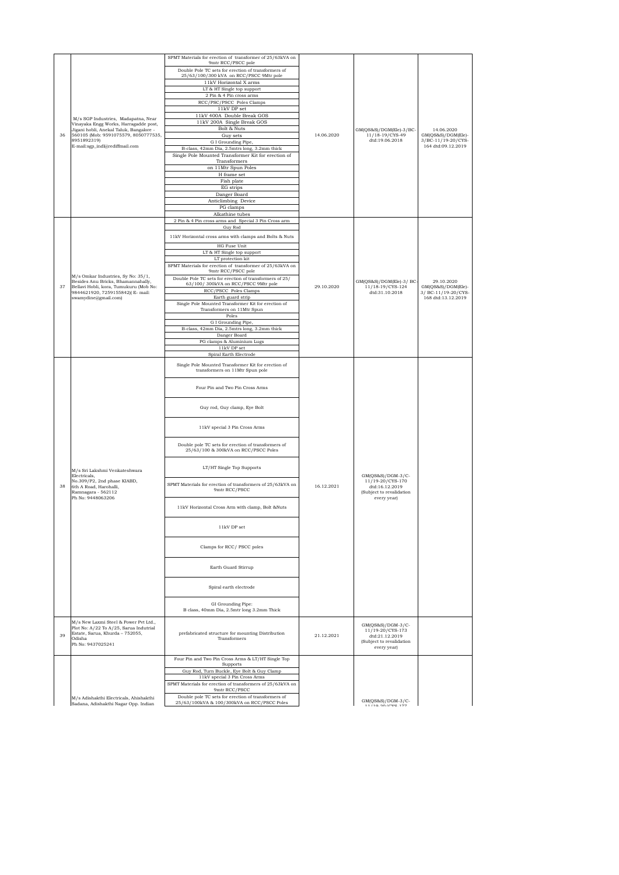|    |                                                                                                                                                   | SPMT Materials for erection of transformer of 25/63kVA on                                      |            |                                                                                                    |                                           |
|----|---------------------------------------------------------------------------------------------------------------------------------------------------|------------------------------------------------------------------------------------------------|------------|----------------------------------------------------------------------------------------------------|-------------------------------------------|
|    |                                                                                                                                                   | 9mtr RCC/PSCC pole<br>Double Pole TC sets for erection of transformers of                      |            |                                                                                                    |                                           |
|    |                                                                                                                                                   | 25/63/100/300 kVA on RCC/PSCC 9Mtr pole                                                        |            |                                                                                                    |                                           |
|    |                                                                                                                                                   | $11\mathrm{kV}$ Horizontal X arms<br>LT & HT Single top support                                |            |                                                                                                    |                                           |
|    |                                                                                                                                                   | 2 Pin & 4 Pin cross arms                                                                       |            |                                                                                                    |                                           |
|    |                                                                                                                                                   | RCC/PSC/PSCC Poles Clamps                                                                      |            |                                                                                                    |                                           |
|    |                                                                                                                                                   | $11\mathrm{kV}$ DP set<br>11kV 400A Double Break GOS                                           |            |                                                                                                    |                                           |
|    | M/s SGP Industries, Madapatna, Near<br>Vinayaka Engg Works, Harragadde post,                                                                      | 11kV 200A Single Break GOS                                                                     |            |                                                                                                    |                                           |
|    | Jigani hobli, Anekal Taluk, Bangalore -                                                                                                           | Bolt & Nuts                                                                                    |            | GM(QS&S)/DGM(Ele)-3/BC-                                                                            | 14.06.2020                                |
| 36 | 560105 (Mob: 9591075579, 8050777535,<br>8951892319)                                                                                               | Guy sets<br>G I Grounding Pipe,                                                                | 14.06.2020 | 11/18-19/CYS-49<br>dtd:19.06.2018                                                                  | GM(QS&S)/DGM(Ele)-<br>3/BC-11/19-20/CYS-  |
|    | E-mail:sgp_indl@rediffmail.com                                                                                                                    | B-class, 42mm Dia, 2.5mtrs long, 3.2mm thick                                                   |            |                                                                                                    | 164 dtd:09.12.2019                        |
|    |                                                                                                                                                   | Single Pole Mounted Transformer Kit for erection of<br>Transformers                            |            |                                                                                                    |                                           |
|    |                                                                                                                                                   | on 11Mtr Spun Poles                                                                            |            |                                                                                                    |                                           |
|    |                                                                                                                                                   | H frame set                                                                                    |            |                                                                                                    |                                           |
|    |                                                                                                                                                   | Fish plate<br>EG strips                                                                        |            |                                                                                                    |                                           |
|    |                                                                                                                                                   | Danger Board                                                                                   |            |                                                                                                    |                                           |
|    |                                                                                                                                                   | Anticlimbing Device                                                                            |            |                                                                                                    |                                           |
|    |                                                                                                                                                   | PG clamps<br>Alkathine tubes                                                                   |            |                                                                                                    |                                           |
|    |                                                                                                                                                   | 2 Pin & 4 Pin cross arms and Special 3 Pin Cross arm<br>Guy Rod                                |            |                                                                                                    |                                           |
|    |                                                                                                                                                   | 11kV Horizontal cross arms with clamps and Bolts & Nuts                                        |            |                                                                                                    |                                           |
|    |                                                                                                                                                   | HG Fuse Unit                                                                                   |            |                                                                                                    |                                           |
|    |                                                                                                                                                   | LT & HT Single top support                                                                     |            |                                                                                                    |                                           |
|    |                                                                                                                                                   | LT protection kit<br>SPMT Materials for erection of transformer of 25/63kVA on                 |            |                                                                                                    |                                           |
|    |                                                                                                                                                   | 9mtr RCC/PSCC pole                                                                             |            |                                                                                                    |                                           |
|    | M/s Omkar Industries, Sy No: 35/1,<br>Besides Anu Bricks, Bhamannahally,                                                                          | Double Pole TC sets for erection of transformers of 25/<br>63/100/300kVA on RCC/PSCC 9Mtr pole |            | GM(QS&S)/DGM(Ele)-3/ BC-                                                                           | 29.10.2020                                |
| 37 | Bellavi Hobli, kora, Tumukuru (Mob No:<br>9844621920, 7259155842)(E-mail:                                                                         | RCC/PSCC Poles Clamps                                                                          | 29.10.2020 | 11/18-19/CYS-124<br>dtd:31.10.2018                                                                 | GM(QS&S)/DGM(Ele)-<br>3/ BC-11/19-20/CYS- |
|    | swamydine@gmail.com)                                                                                                                              | Earth guard strip<br>Single Pole Mounted Transformer Kit for erection of                       |            |                                                                                                    | 168 dtd:13.12.2019                        |
|    |                                                                                                                                                   | Transformers on 11Mtr Spun                                                                     |            |                                                                                                    |                                           |
|    |                                                                                                                                                   | Poles                                                                                          |            |                                                                                                    |                                           |
|    |                                                                                                                                                   | G I Grounding Pipe,<br>B-class, 42mm Dia, 2.5mtrs long, 3.2mm thick                            |            |                                                                                                    |                                           |
|    |                                                                                                                                                   | Danger Board                                                                                   |            |                                                                                                    |                                           |
|    |                                                                                                                                                   | PG clamps & Aluminium Lugs<br>11kV DP set                                                      |            |                                                                                                    |                                           |
|    |                                                                                                                                                   | Spiral Earth Electrode                                                                         |            |                                                                                                    |                                           |
|    |                                                                                                                                                   | Single Pole Mounted Transformer Kit for erection of<br>transformers on 11Mtr Spun pole         |            |                                                                                                    |                                           |
|    |                                                                                                                                                   | Four Pin and Two Pin Cross Arms                                                                |            |                                                                                                    |                                           |
|    |                                                                                                                                                   | Guy rod, Guy clamp, Eye Bolt                                                                   |            |                                                                                                    |                                           |
|    |                                                                                                                                                   | 11kV special 3 Pin Cross Arms                                                                  |            |                                                                                                    |                                           |
|    |                                                                                                                                                   | Double pole TC sets for erection of transformers of<br>25/63/100 & 300kVA on RCC/PSCC Poles    |            |                                                                                                    |                                           |
|    | M/s Sri Lakshmi Venkateshwara                                                                                                                     | LT/HT Single Top Supports                                                                      |            |                                                                                                    |                                           |
| 38 | Electricals,<br>No.309/P2, 2nd phase KIABD,<br>6th A Road, Harohalli,<br>Ramnagara - 562112                                                       | SPMT Materials for erection of transformers of 25/63kVA on<br>9mtr RCC/PSCC                    | 16.12.2021 | GM(QS&S)/DGM-3/C-<br>11/19-20/CYS-170<br>dtd:16.12.2019<br>(Subject to revalidation                |                                           |
|    | Ph No: 9448063206                                                                                                                                 | 11kV Horizontal Cross Arm with clamp, Bolt &Nuts                                               |            | every year)                                                                                        |                                           |
|    |                                                                                                                                                   | 11kV DP set                                                                                    |            |                                                                                                    |                                           |
|    |                                                                                                                                                   | Clamps for RCC/ PSCC poles                                                                     |            |                                                                                                    |                                           |
|    |                                                                                                                                                   | Earth Guard Stirrup                                                                            |            |                                                                                                    |                                           |
|    |                                                                                                                                                   | Spiral earth electrode                                                                         |            |                                                                                                    |                                           |
|    |                                                                                                                                                   | GI Grounding Pipe:<br>B class, 40mm Dia, 2.5mtr long 3.2mm Thick                               |            |                                                                                                    |                                           |
| 39 | M/s New Laxmi Steel & Power Pvt Ltd.,<br>Plot No: A/22 To A/25, Sarua Indutrial<br>Estate, Sarua, Khurda - 752055,<br>Odisha<br>Ph No: 9437025241 | prefabricated structure for mounting Distribution<br>Transformers                              | 21.12.2021 | GM(QS&S)/DGM-3/C-<br>11/19-20/CYS-173<br>dtd:21.12.2019<br>(Subject to revalidation<br>every year) |                                           |
|    |                                                                                                                                                   | Four Pin and Two Pin Cross Arms & LT/HT Single Top                                             |            |                                                                                                    |                                           |
|    |                                                                                                                                                   | Supports<br>Guy Rod, Turn Buckle, Eye Bolt & Guy Clamp                                         |            |                                                                                                    |                                           |
|    |                                                                                                                                                   | 11kV special 3 Pin Cross Arms                                                                  |            |                                                                                                    |                                           |
|    |                                                                                                                                                   | SPMT Materials for erection of transformers of 25/63kVA on<br>9mtr RCC/PSCC                    |            |                                                                                                    |                                           |
|    | M/s Adishakthi Electricals, Ahishakthi                                                                                                            | Double pole TC sets for erection of transformers of                                            |            |                                                                                                    |                                           |
|    | Sadana, Adishakthi Nagar Opp. Indian                                                                                                              | 25/63/100kVA & 100/300kVA on RCC/PSCC Poles                                                    |            | GM(QS&S)/DGM-3/C-<br>11/10 00/0VP 177                                                              |                                           |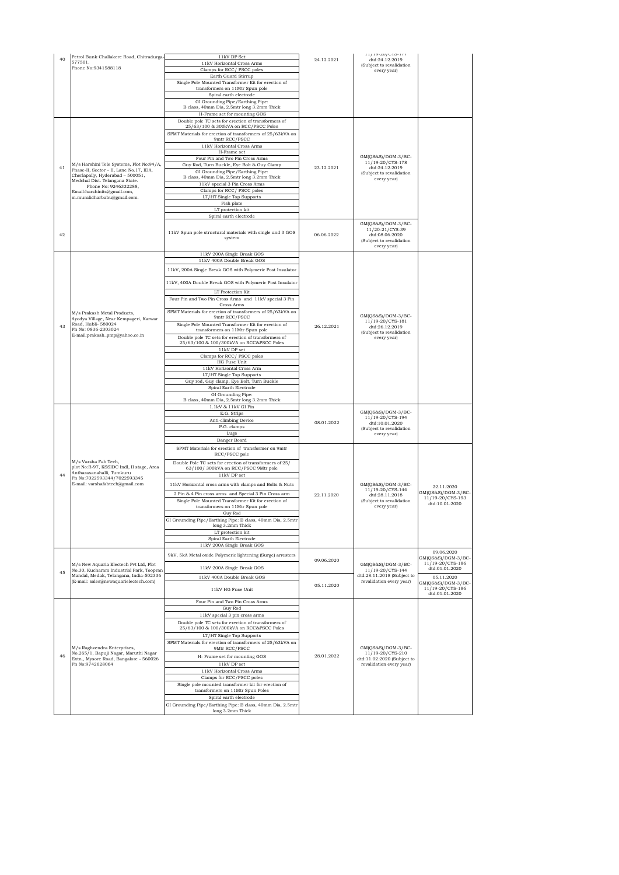| 40 | Petrol Bunk Challakere Road, Chitradurga-                                                                                    | $11\mathrm{kV}$ DP Set                                                                                      | 24.12.2021 | $11/19 - 20/015 - 177$<br>dtd:24.12.2019                                                              |                                                      |
|----|------------------------------------------------------------------------------------------------------------------------------|-------------------------------------------------------------------------------------------------------------|------------|-------------------------------------------------------------------------------------------------------|------------------------------------------------------|
|    | 577501.<br>Phone No:9341588118                                                                                               | 11kV Horizontal Cross Arms                                                                                  |            | (Subject to revalidation                                                                              |                                                      |
|    |                                                                                                                              | Clamps for RCC/ PSCC poles<br>Earth Guard Stirrup                                                           |            | every year)                                                                                           |                                                      |
|    |                                                                                                                              | Single Pole Mounted Transformer Kit for erection of                                                         |            |                                                                                                       |                                                      |
|    |                                                                                                                              | transformers on 11Mtr Spun pole<br>Spiral earth electrode                                                   |            |                                                                                                       |                                                      |
|    |                                                                                                                              | GI Grounding Pipe/Earthing Pipe:                                                                            |            |                                                                                                       |                                                      |
|    |                                                                                                                              | B class, 40mm Dia, 2.5mtr long 3.2mm Thick                                                                  |            |                                                                                                       |                                                      |
|    |                                                                                                                              | H-Frame set for mounting GOS<br>Double pole TC sets for erection of transformers of                         |            |                                                                                                       |                                                      |
|    |                                                                                                                              | 25/63/100 & 300kVA on RCC/PSCC Poles                                                                        |            |                                                                                                       |                                                      |
|    |                                                                                                                              | SPMT Materials for erection of transformers of 25/63kVA on<br>9mtr RCC/PSCC                                 |            |                                                                                                       |                                                      |
|    |                                                                                                                              | $11\mathrm{kV}$ Horizontal Cross Arms                                                                       |            |                                                                                                       |                                                      |
|    |                                                                                                                              | H-Frame set                                                                                                 |            | GM(QS&S)/DGM-3/BC-                                                                                    |                                                      |
|    | M/s Harshini Tele Systems, Plot No:94/A,                                                                                     | Four Pin and Two Pin Cross Arms<br>Guy Rod, Turn Buckle, Eye Bolt & Guy Clamp                               |            | 11/19-20/CYS-178                                                                                      |                                                      |
| 41 | Phase-II, Sector - II, Lane No.17, IDA,<br>Cherlapally, Hyderabad - 500051,                                                  | GI Grounding Pipe/Earthing Pipe:                                                                            | 23.12.2021 | dtd:24.12.2019<br>(Subject to revalidation                                                            |                                                      |
|    | Medchal Dist. Telangana State.                                                                                               | B class, 40mm Dia, 2.5mtr long 3.2mm Thick<br>11kV special 3 Pin Cross Arms                                 |            | every year)                                                                                           |                                                      |
|    | Phone No: 9246332288,<br>Email: harshinits@gmail.com,                                                                        | Clamps for RCC/PSCC poles                                                                                   |            |                                                                                                       |                                                      |
|    | m.muralidharbabu@gmail.com.                                                                                                  | LT/HT Single Top Supports                                                                                   |            |                                                                                                       |                                                      |
|    |                                                                                                                              | Fish plate<br>LT protection kit                                                                             |            |                                                                                                       |                                                      |
|    |                                                                                                                              | Spiral earth electrode                                                                                      |            |                                                                                                       |                                                      |
| 42 |                                                                                                                              | 11kV Spun pole structural materials with single and 3 GOS<br>system                                         | 06.06.2022 | GM(QS&S)/DGM-3/BC-<br>11/20-21/CYS-39<br>dtd:08.06.2020<br>(Subject to revalidation<br>every year)    |                                                      |
|    |                                                                                                                              | 11kV 200A Single Break GOS<br>11kV 400A Double Break GOS                                                    |            |                                                                                                       |                                                      |
|    |                                                                                                                              | 11kV, 200A Single Break GOS with Polymeric Post Insulator                                                   |            |                                                                                                       |                                                      |
|    |                                                                                                                              | 11kV, 400A Double Break GOS with Polymeric Post Insulator                                                   |            |                                                                                                       |                                                      |
|    |                                                                                                                              | LT Protection Kit<br>Four Pin and Two Pin Cross Arms and 11kV special 3 Pin<br>Cross Arms                   |            |                                                                                                       |                                                      |
|    | M/s Prakash Metal Products,                                                                                                  | SPMT Materials for erection of transformers of 25/63kVA on                                                  |            |                                                                                                       |                                                      |
|    | Ayodya Village, Near Kempageri, Karwar                                                                                       | 9mtr RCC/PSCC                                                                                               |            | $GM(QS&S)/DGM-3/BC-$<br>11/19-20/CYS-181<br>dtd:26.12.2019<br>(Subject to revalidation<br>every year) |                                                      |
| 43 | Road, Hubli- 580024<br>Ph No: 0836-2303024                                                                                   | Single Pole Mounted Transformer Kit for erection of<br>transformers on 11Mtr Spun pole                      | 26.12.2021 |                                                                                                       |                                                      |
|    | E-mail:prakash_pmp@yahoo.co.in                                                                                               | Double pole TC sets for erection of transformers of<br>25/63/100 & 100/300kVA on RCC&PSCC Poles             |            |                                                                                                       |                                                      |
|    |                                                                                                                              | $11\mathrm{kV}$ DP set<br>Clamps for RCC/ PSCC poles                                                        |            |                                                                                                       |                                                      |
|    |                                                                                                                              | HG Fuse Unit                                                                                                |            |                                                                                                       |                                                      |
|    |                                                                                                                              | 11kV Horizontal Cross Arm<br>LT/HT Single Top Supports                                                      |            |                                                                                                       |                                                      |
|    |                                                                                                                              | Guy rod, Guy clamp, Eye Bolt, Turn Buckle                                                                   |            |                                                                                                       |                                                      |
|    |                                                                                                                              | Spiral Earth Electrode                                                                                      |            |                                                                                                       |                                                      |
|    |                                                                                                                              | GI Grounding Pipe:<br>B class, 40mm Dia, 2.5mtr long 3.2mm Thick                                            |            |                                                                                                       |                                                      |
|    |                                                                                                                              | 1.1kV & 11kV GI Pin                                                                                         |            | GM(QS&S)/DGM-3/BC-                                                                                    |                                                      |
|    |                                                                                                                              | E.G. Strips<br>Anti-climbing Device                                                                         | 08.01.2022 | 11/19-20/CYS-194<br>dtd:10.01.2020<br>(Subject to revalidation                                        |                                                      |
|    |                                                                                                                              | P.G. clamps                                                                                                 |            |                                                                                                       |                                                      |
|    |                                                                                                                              | Lugs                                                                                                        |            | every year)                                                                                           |                                                      |
|    |                                                                                                                              | Danger Board<br>SPMT Materials for erection of transformer on 9mtr                                          |            |                                                                                                       |                                                      |
|    |                                                                                                                              | RCC/PSCC pole                                                                                               |            |                                                                                                       |                                                      |
|    | M/s Varsha Fab Tech,<br>plot No:R-97, KSSIDC Indl, II stage, Area<br>Antharasanahalli, Tumkuru                               | Double Pole TC sets for erection of transformers of 25/<br>63/100/300kVA on RCC/PSCC 9Mtr pole              |            |                                                                                                       |                                                      |
| 44 | Ph No:7022593344/7022593345<br>E-mail: varshafabtech@gmail.com                                                               | $11\mathrm{kV}$ DP set                                                                                      |            | GM(QS&S)/DGM-3/BC-                                                                                    |                                                      |
|    |                                                                                                                              | 11kV Horizontal cross arms with clamps and Bolts & Nuts                                                     |            | 11/19-20/CYS-144                                                                                      | 22.11.2020<br>GM(QS&S)/DGM-3/BC-                     |
|    |                                                                                                                              | 2 Pin & 4 Pin cross arms and Special 3 Pin Cross arm<br>Single Pole Mounted Transformer Kit for erection of | 22.11.2020 | dtd:28.11.2018<br>(Subject to revalidation                                                            | 11/19-20/CYS-193                                     |
|    |                                                                                                                              | transformers on 11Mtr Spun pole                                                                             |            | every year)                                                                                           | dtd:10.01.2020                                       |
|    |                                                                                                                              | $\rm{Guy}$ $\rm{Rod}$<br>GI Grounding Pipe/Earthing Pipe: B class, 40mm Dia, 2.5mtr                         |            |                                                                                                       |                                                      |
|    |                                                                                                                              | long 3.2mm Thick                                                                                            |            |                                                                                                       |                                                      |
|    |                                                                                                                              | LT protection kit<br>Spiral Earth Electrode                                                                 |            |                                                                                                       |                                                      |
|    |                                                                                                                              | 11kV 200A Single Break GOS                                                                                  |            |                                                                                                       |                                                      |
|    |                                                                                                                              | 9kV, 5kA Metal oxide Polymeric lightening (Surge) arresters                                                 | 09.06.2020 |                                                                                                       | 09.06.2020<br>GM(QS&S)/DGM-3/BC-<br>11/19-20/CYS-186 |
| 45 | M/s New Aquaria Electech Pvt Ltd, Plot<br>No.30, Kucharam Industrial Park, Toopran<br>Mandal, Medak, Telangana, India-502336 | 11kV 200A Single Break GOS                                                                                  |            | GM(QS&S)/DGM-3/BC-<br>11/19-20/CYS-144<br>dtd:28.11.2018 (Subject to                                  | dtd:01.01.2020                                       |
|    | (E-mail: sales@newaquarielectech.com)                                                                                        | 11kV 400A Double Break GOS                                                                                  | 05.11.2020 | revalidation every year)                                                                              | 05.11.2020<br>GM(QS&S)/DGM-3/BC-                     |
|    |                                                                                                                              | 11kV HG Fuse Unit<br>Four Pin and Two Pin Cross Arms                                                        |            |                                                                                                       | 11/19-20/CYS-186<br>dtd:01.01.2020                   |
|    |                                                                                                                              | Guy Rod                                                                                                     |            |                                                                                                       |                                                      |
|    |                                                                                                                              | 11kV special 3 pin cross arms                                                                               |            |                                                                                                       |                                                      |
|    |                                                                                                                              | Double pole TC sets for erection of transformers of<br>25/63/100 & 100/300kVA on RCC&PSCC Poles             |            |                                                                                                       |                                                      |
|    |                                                                                                                              | LT/HT Single Top Supports                                                                                   |            |                                                                                                       |                                                      |
|    | M/s Raghvendra Enterprises,                                                                                                  | SPMT Materials for erection of transformers of 25/63kVA on<br>9Mtr RCC/PSCC                                 |            | GM(QS&S)/DGM-3/BC-                                                                                    |                                                      |
| 46 | No.265/1, Bapuji Nagar, Maruthi Nagar                                                                                        | H- Frame set for mounting GOS                                                                               | 28.01.2022 | 11/19-20/CYS-210                                                                                      |                                                      |
|    | Extn., Mysore Road, Bangalore - 560026<br>Ph No:9742628064                                                                   | 11kV DP set                                                                                                 |            | dtd:11.02.2020 (Subject to<br>revalidation every year)                                                |                                                      |
|    |                                                                                                                              | 11kV Horizontal Cross Arms                                                                                  |            |                                                                                                       |                                                      |
|    |                                                                                                                              | Clamps for RCC/PSCC poles<br>Single pole mounted transformer kit for erection of                            |            |                                                                                                       |                                                      |
|    |                                                                                                                              | transformers on 11Mtr Spun Poles                                                                            |            |                                                                                                       |                                                      |
|    |                                                                                                                              | Spiral earth electrode                                                                                      |            |                                                                                                       |                                                      |
|    |                                                                                                                              | GI Grounding Pipe/Earthing Pipe: B class, 40mm Dia, 2.5mtr<br>long 3.2mm Thick                              |            |                                                                                                       |                                                      |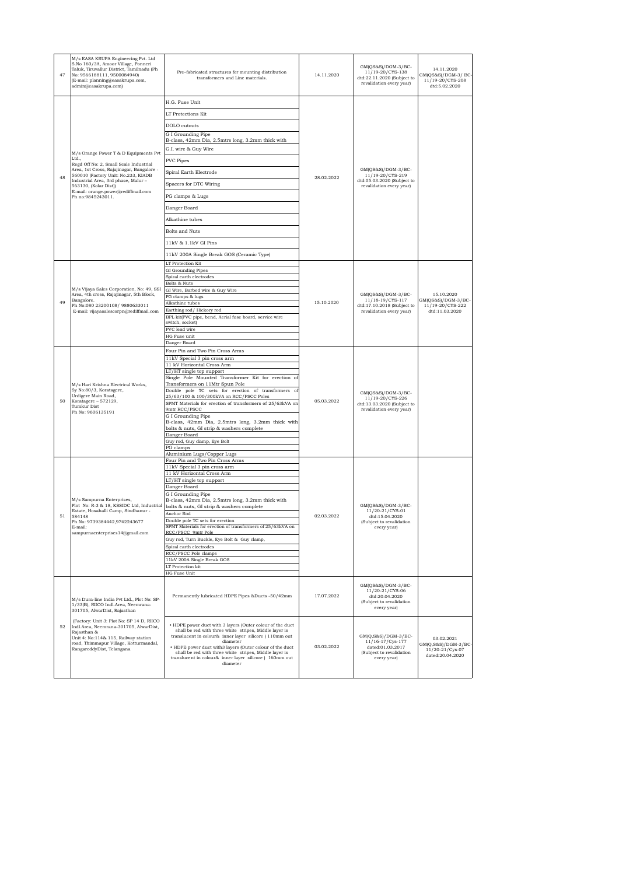| 47 | M/s EASA KRUPA Engineering Pvt. Ltd<br>S.No 160/3A, Amoor Village, Ponneri<br>Taluk, Tiruvallur District, Tamilnadu (Ph<br>No: 9566188111, 9500084940)<br>(E-mail: planning@easakrupa.com,<br>admin@easakrupa.com) | Pre-fabricated structures for mounting distribution<br>transformers and Line materials.                                                                                                    | 14.11.2020 | GM(QS&S)/DGM-3/BC-<br>11/19-20/CYS-138<br>dtd:22.11.2020 (Subject to<br>revalidation every year)   | 14.11.2020<br>GM(QS&S)/DGM-3/ BC<br>11/19-20/CYS-208<br>dtd:5.02.2020 |
|----|--------------------------------------------------------------------------------------------------------------------------------------------------------------------------------------------------------------------|--------------------------------------------------------------------------------------------------------------------------------------------------------------------------------------------|------------|----------------------------------------------------------------------------------------------------|-----------------------------------------------------------------------|
|    |                                                                                                                                                                                                                    | H.G. Fuse Unit                                                                                                                                                                             |            |                                                                                                    |                                                                       |
|    |                                                                                                                                                                                                                    | LT Protections Kit                                                                                                                                                                         |            |                                                                                                    |                                                                       |
|    |                                                                                                                                                                                                                    | DOLO cutouts                                                                                                                                                                               |            |                                                                                                    |                                                                       |
|    |                                                                                                                                                                                                                    | G I Grounding Pipe                                                                                                                                                                         |            |                                                                                                    |                                                                       |
|    |                                                                                                                                                                                                                    | B-class, 42mm Dia, 2.5mtrs long, 3.2mm thick with<br>G.I. wire & Guy Wire                                                                                                                  |            |                                                                                                    |                                                                       |
|    | M/s Orange Power T & D Equipments Pvt<br>Ltd                                                                                                                                                                       | <b>PVC</b> Pipes                                                                                                                                                                           |            |                                                                                                    |                                                                       |
|    | Regd Off No: 2, Small Scale Industrial<br>Area, 1st Cross, Rajajinagar, Bangalore -<br>560010 (Factory Unit: No.233, KIADB                                                                                         | Spiral Earth Electrode                                                                                                                                                                     |            | $GM(QS&S)/DGM-3/BC-$<br>11/19-20/CYS-219                                                           |                                                                       |
| 48 | Industrial Area, 3rd phase, Malur-<br>563130, (Kolar Dist))                                                                                                                                                        | Spacers for DTC Wiring                                                                                                                                                                     | 28.02.2022 | dtd:05.03.2020 (Subject to<br>revalidation every year)                                             |                                                                       |
|    | E-mail: orange.power@rediffmail.com<br>Ph no:9845243011.                                                                                                                                                           | PG clamps & Lugs                                                                                                                                                                           |            |                                                                                                    |                                                                       |
|    |                                                                                                                                                                                                                    | Danger Board                                                                                                                                                                               |            |                                                                                                    |                                                                       |
|    |                                                                                                                                                                                                                    | Alkathine tubes                                                                                                                                                                            |            |                                                                                                    |                                                                       |
|    |                                                                                                                                                                                                                    | <b>Bolts and Nuts</b>                                                                                                                                                                      |            |                                                                                                    |                                                                       |
|    |                                                                                                                                                                                                                    | 11kV & 1.1kV GI Pins                                                                                                                                                                       |            |                                                                                                    |                                                                       |
|    |                                                                                                                                                                                                                    | 11kV 200A Single Break GOS (Ceramic Type)                                                                                                                                                  |            |                                                                                                    |                                                                       |
|    |                                                                                                                                                                                                                    | LT Protection Kit                                                                                                                                                                          |            |                                                                                                    |                                                                       |
|    |                                                                                                                                                                                                                    | GI Grounding Pipes<br>Spiral earth electrodes                                                                                                                                              |            |                                                                                                    |                                                                       |
|    |                                                                                                                                                                                                                    | Bolts & Nuts                                                                                                                                                                               |            |                                                                                                    |                                                                       |
|    | M/s Vijaya Sales Corporation, No: 49, SSI<br>Area, 4th cross, Rajajinagar, 5th Block,                                                                                                                              | GI Wire, Barbed wire & Guy Wire<br>PG clamps & lugs                                                                                                                                        |            | $GM(QS&S)/DGM-3/BC-$<br>11/18-19/CYS-117<br>dtd:17.10.2018 (Subject to<br>revalidation every year) | 15.10.2020                                                            |
| 49 | Bangalore.<br>Ph No:080 23200108/ 9880633011                                                                                                                                                                       | Alkathine tubes                                                                                                                                                                            | 15.10.2020 |                                                                                                    | GM(QS&S)/DGM-3/BC-<br>11/19-20/CYS-222                                |
|    | E-mail: vijayasalescorpn@rediffmail.com                                                                                                                                                                            | Earthing rod/ Hickory rod<br>BPL kit(PVC pipe, bend, Aerial fuse board, service wire                                                                                                       |            |                                                                                                    | dtd:11.03.2020                                                        |
|    |                                                                                                                                                                                                                    | switch, socket)<br>PVC lead wire                                                                                                                                                           |            |                                                                                                    |                                                                       |
|    |                                                                                                                                                                                                                    | HG Fuse unit<br>Danger Board                                                                                                                                                               |            |                                                                                                    |                                                                       |
|    |                                                                                                                                                                                                                    | Four Pin and Two Pin Cross Arms                                                                                                                                                            |            |                                                                                                    |                                                                       |
|    | M/s Hari Krishna Electrical Works,<br>Sy No:80/3, Koratagere,<br>Urdigere Main Road,                                                                                                                               | 11kV Special 3 pin cross arm<br>11 kV Horizontal Cross Arm                                                                                                                                 |            |                                                                                                    |                                                                       |
|    |                                                                                                                                                                                                                    | LT/HT single top support                                                                                                                                                                   |            |                                                                                                    |                                                                       |
|    |                                                                                                                                                                                                                    | Single Pole Mounted Transformer Kit for erection of<br>Transformers on 11Mtr Spun Pole                                                                                                     |            |                                                                                                    |                                                                       |
|    |                                                                                                                                                                                                                    | Double pole TC sets for erection of transformers of<br>25/63/100 & 100/300kVA on RCC/PSCC Poles                                                                                            |            | GM(QS&S)/DGM-3/BC-<br>11/19-20/CYS-226                                                             |                                                                       |
| 50 | Koratagere - 572129,<br>Tumkur Dist                                                                                                                                                                                | SPMT Materials for erection of transformers of 25/63kVA on<br>9mtr RCC/PSCC                                                                                                                | 05.03.2022 | dtd:13.03.2020 (Subject to<br>revalidation every year)                                             |                                                                       |
|    | Ph No: 9606135191                                                                                                                                                                                                  | G I Grounding Pipe                                                                                                                                                                         |            |                                                                                                    |                                                                       |
|    |                                                                                                                                                                                                                    | B-class, 42mm Dia, 2.5mtrs long, 3.2mm thick with<br>bolts & nuts, GI strip & washers complete                                                                                             |            |                                                                                                    |                                                                       |
|    |                                                                                                                                                                                                                    | Danger Board<br>Guy rod, Guy clamp, Eye Bolt                                                                                                                                               |            |                                                                                                    |                                                                       |
|    |                                                                                                                                                                                                                    | PG clamps<br>Aluminium Lugs/Copper Lugs                                                                                                                                                    |            |                                                                                                    |                                                                       |
|    |                                                                                                                                                                                                                    | Four Pin and Two Pin Cross Arms                                                                                                                                                            |            |                                                                                                    |                                                                       |
|    |                                                                                                                                                                                                                    | 11kV Special 3 pin cross arm<br>11 kV Horizontal Cross Arm                                                                                                                                 |            |                                                                                                    |                                                                       |
|    |                                                                                                                                                                                                                    | LT/HT single top support<br>Danger Board                                                                                                                                                   |            |                                                                                                    |                                                                       |
|    |                                                                                                                                                                                                                    | G I Grounding Pipe                                                                                                                                                                         |            |                                                                                                    |                                                                       |
|    | M/s Sampurna Enterprises,<br>Plot No: R-3 & 18, KSSIDC Ltd, Industrial                                                                                                                                             | B-class, 42mm Dia, 2.5mtrs long, 3.2mm thick with<br>bolts & nuts, GI strip & washers complete                                                                                             |            | GM(OS&S)/DGM-3/BC-                                                                                 |                                                                       |
| 51 | Estate, Hosahalli Camp, Sindhanur -<br>584148                                                                                                                                                                      | Anchor Rod<br>Double pole TC sets for erection                                                                                                                                             | 02.03.2022 | 11/20-21/CYS-01<br>dtd:15.04.2020                                                                  |                                                                       |
|    | Ph No: 9739384442,9742243677<br>E-mail:<br>sampurnaenterprises14@gmail.com                                                                                                                                         | SPMT Materials for erection of transformers of 25/63kVA on<br>RCC/PSCC 9mtr Pole                                                                                                           |            | (Subject to revalidation<br>every year)                                                            |                                                                       |
|    |                                                                                                                                                                                                                    | Guy rod, Turn Buckle, Eye Bolt & Guy clamp,                                                                                                                                                |            |                                                                                                    |                                                                       |
|    |                                                                                                                                                                                                                    | Spiral earth electrodes<br>RCC/PSCC Pole clamps                                                                                                                                            |            |                                                                                                    |                                                                       |
|    |                                                                                                                                                                                                                    | 11kV 200A Single Break GOS                                                                                                                                                                 |            |                                                                                                    |                                                                       |
|    |                                                                                                                                                                                                                    | LT Protection kit<br>HG Fuse Unit                                                                                                                                                          |            |                                                                                                    |                                                                       |
|    |                                                                                                                                                                                                                    | Permanently lubricated HDPE Pipes &Ducts -50/42mm                                                                                                                                          | 17.07.2022 | $GM(QS&S)/DGM-3/BC-$<br>11/20-21/CYS-06<br>dtd:20.04.2020                                          |                                                                       |
|    | M/s Dura-line India Pvt Ltd., Plot No: SP-<br>1/33(B), RIICO Indl.Area, Neemrana-<br>301705, AlwarDist, Rajasthan                                                                                                  |                                                                                                                                                                                            |            | (Subject to revalidation<br>every year)                                                            |                                                                       |
| 52 | (Factory: Unit 3: Plot No: SP 14 D, RIICO<br>Indl.Area, Neemrana-301705, AlwarDist,<br>Rajasthan &<br>Unit 4: No:114& 115, Railway station<br>road, Thimmapur Village, Kotturmandal,                               | . HDPE power duct with 3 layers (Outer colour of the duct<br>shall be red with three white stripes, Middle layer is<br>translucent in colour& inner layer silicore ) 110mm out<br>diameter |            | GM(Q,S&S)/DGM-3/BC-<br>11/16-17/Cys-177                                                            | 03.02.2021<br>GM(Q,S&S)/DGM-3/BC                                      |
|    | RangareddyDist, Telangana                                                                                                                                                                                          | . HDPE power duct with3 layers (Outer colour of the duct<br>shall be red with three white stripes, Middle layer is<br>translucent in colour& inner layer silicore ) 160mm out<br>diameter  | 03.02.2022 | dated:01.03.2017<br>(Subject to revalidation<br>every year)                                        | 11/20-21/Cys-07<br>dated:20.04.2020                                   |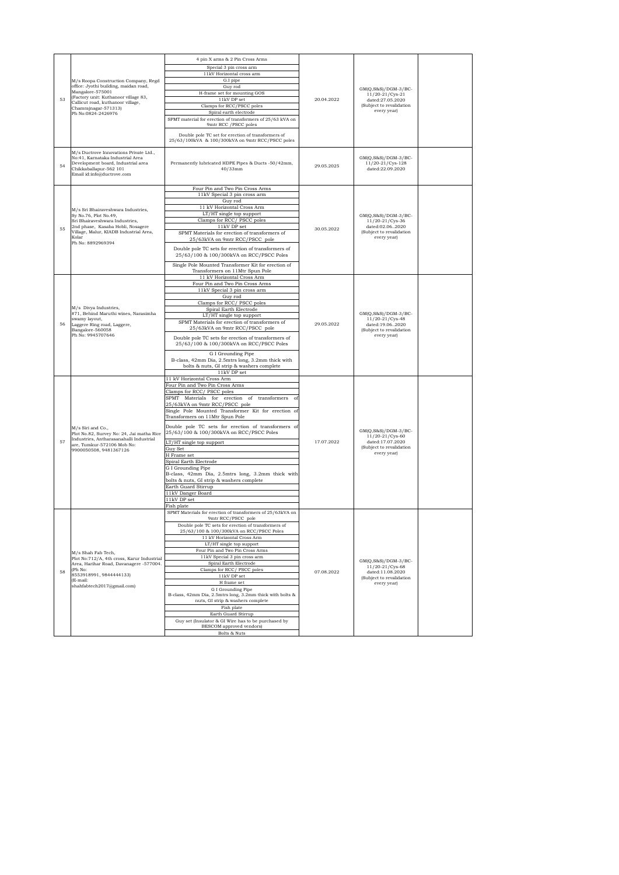|    | M/s Roopa Construction Company, Regd<br>office: Jyothi building, maidan road,                                                                                            | 4 pin X arms & 2 Pin Cross Arms                                                                                      |            |                                                                |  |
|----|--------------------------------------------------------------------------------------------------------------------------------------------------------------------------|----------------------------------------------------------------------------------------------------------------------|------------|----------------------------------------------------------------|--|
|    |                                                                                                                                                                          | Special 3 pin cross arm                                                                                              |            |                                                                |  |
|    |                                                                                                                                                                          | 11kV Horizontal cross arm                                                                                            |            |                                                                |  |
|    |                                                                                                                                                                          | G.I pipe<br>Guy rod                                                                                                  |            |                                                                |  |
|    | Mangalore-575001                                                                                                                                                         | H-frame set for mounting GOS                                                                                         |            | $GM(Q, S\&S)/DGM-3/BC-$<br>11/20-21/Cys-21                     |  |
| 53 | (Factory unit: Kuthanoor village 83,<br>Callicut road, kuthanoor village,                                                                                                | $11\mathrm{kV}$ DP set                                                                                               | 20.04.2022 | dated:27.05.2020                                               |  |
|    | Chamrajnagar-571313)                                                                                                                                                     | Clamps for RCC/PSCC poles                                                                                            |            | (Subject to revalidation<br>every year)                        |  |
|    | Ph No:0824-2426976                                                                                                                                                       | Spiral earth electrode<br>SPMT material for erection of transformers of 25/63 kVA on                                 |            |                                                                |  |
|    |                                                                                                                                                                          | 9mtr RCC / PSCC poles                                                                                                |            |                                                                |  |
|    |                                                                                                                                                                          | Double pole TC set for erection of transformers of<br>25/63/100kVA & 100/300kVA on 9mtr RCC/PSCC poles               |            |                                                                |  |
| 54 | M/s Ductrove Innovations Private Ltd.,<br>No:41, Karnataka Industrial Area<br>Development board, Industrial area<br>Chikkaballapur-562 101<br>Email id:info@ductrove.com | Permanently lubricated HDPE Pipes & Ducts -50/42mm,<br>$40/33$ mm                                                    | 29.05.2025 | $GM(Q, S&S)/DGM-3/BC-$<br>11/20-21/Cys-128<br>dated:22.09.2020 |  |
|    |                                                                                                                                                                          | Four Pin and Two Pin Cross Arms                                                                                      |            |                                                                |  |
|    |                                                                                                                                                                          | 11kV Special 3 pin cross arm                                                                                         |            |                                                                |  |
|    |                                                                                                                                                                          | Guy rod                                                                                                              |            |                                                                |  |
|    | M/s Sri Bhairaveshwara Industries,                                                                                                                                       | 11 kV Horizontal Cross Arm<br>LT/HT single top support                                                               |            |                                                                |  |
|    | Sy No.76, Plot No.49,<br>Sri Bhairaveshwara Industries,                                                                                                                  | Clamps for RCC/ PSCC poles                                                                                           |            | $GM(Q, S&S)/DGM-3/BC-$<br>11/20-21/Cys-36                      |  |
| 55 | 2nd phase, Kasaba Hobli, Nosagere                                                                                                                                        | 11kV DP set                                                                                                          |            | dated:02.062020                                                |  |
|    | Village, Malur, KIADB Industrial Area,                                                                                                                                   | SPMT Materials for erection of transformers of                                                                       | 30.05.2022 | (Subject to revalidation                                       |  |
|    | Kolar<br>Ph No: 8892969394                                                                                                                                               | 25/63kVA on 9mtr RCC/PSCC pole                                                                                       |            | every year)                                                    |  |
|    |                                                                                                                                                                          | Double pole TC sets for erection of transformers of<br>25/63/100 & 100/300kVA on RCC/PSCC Poles                      |            |                                                                |  |
|    |                                                                                                                                                                          | Single Pole Mounted Transformer Kit for erection of                                                                  |            |                                                                |  |
|    |                                                                                                                                                                          | Transformers on 11Mtr Spun Pole                                                                                      |            |                                                                |  |
|    |                                                                                                                                                                          | 11 kV Horizontal Cross Arm                                                                                           |            |                                                                |  |
|    |                                                                                                                                                                          | Four Pin and Two Pin Cross Arms<br>11kV Special 3 pin cross arm                                                      |            |                                                                |  |
|    |                                                                                                                                                                          | Guy rod                                                                                                              |            |                                                                |  |
|    |                                                                                                                                                                          | Clamps for RCC/ PSCC poles                                                                                           |            |                                                                |  |
|    | M/s Divya Industries,                                                                                                                                                    | Spiral Earth Electrode                                                                                               |            | $GM(Q,S\&S)/DGM-3/BC-$                                         |  |
|    | #71, Behind Maruthi wines, Narasimha<br>swamy layout,                                                                                                                    | LT/HT single top support                                                                                             |            | 11/20-21/Cvs-48                                                |  |
| 56 | Laggere Ring road, Laggere,<br>Bangalore-560058<br>Ph No: 9945707646                                                                                                     | SPMT Materials for erection of transformers of<br>25/63kVA on 9mtr RCC/PSCC pole                                     | 29.05.2022 | dated:19.062020<br>(Subject to revalidation                    |  |
|    |                                                                                                                                                                          | Double pole TC sets for erection of transformers of<br>25/63/100 & 100/300kVA on RCC/PSCC Poles                      |            | every year)                                                    |  |
|    |                                                                                                                                                                          | G I Grounding Pipe<br>B-class, 42mm Dia, 2.5mtrs long, 3.2mm thick with<br>bolts & nuts, GI strip & washers complete |            |                                                                |  |
|    |                                                                                                                                                                          | 11kV DP set                                                                                                          |            |                                                                |  |
|    |                                                                                                                                                                          | 11 kV Horizontal Cross Arm                                                                                           |            |                                                                |  |
|    |                                                                                                                                                                          | Four Pin and Two Pin Cross Arms<br>Clamps for RCC/ PSCC poles                                                        |            |                                                                |  |
|    |                                                                                                                                                                          | SPMT Materials for erection of transformers<br>of                                                                    |            |                                                                |  |
|    |                                                                                                                                                                          | 25/63kVA on 9mtr RCC/PSCC pole                                                                                       |            |                                                                |  |
|    |                                                                                                                                                                          | Single Pole Mounted Transformer Kit for erection of                                                                  |            |                                                                |  |
|    |                                                                                                                                                                          | Transformers on 11Mtr Spun Pole<br>Double pole TC sets for erection of transformers of                               |            |                                                                |  |
|    | M/s Siri and Co.,<br>Plot No.82, Survey No: 24, Jai matha Rice<br>Industries, Antharasanahalli Industrial                                                                | 25/63/100 & 100/300kVA on RCC/PSCC Poles                                                                             |            | $GM(Q, S&S)/DGM-3/BC-$<br>11/20-21/Cys-60                      |  |
| 57 | are, Tumkur-572106 Mob No:                                                                                                                                               | LT/HT single top support                                                                                             | 17.07.2022 | dated:17.07.2020<br>(Subject to revalidation                   |  |
|    | 9900050508, 9481367126                                                                                                                                                   | Guy Set<br>H Frame set                                                                                               |            | every year)                                                    |  |
|    |                                                                                                                                                                          | Spiral Earth Electrode                                                                                               |            |                                                                |  |
|    |                                                                                                                                                                          | G I Grounding Pipe                                                                                                   |            |                                                                |  |
|    |                                                                                                                                                                          | B-class, 42mm Dia, 2.5mtrs long, 3.2mm thick with                                                                    |            |                                                                |  |
|    |                                                                                                                                                                          | bolts & nuts, GI strip & washers complete                                                                            |            |                                                                |  |
|    |                                                                                                                                                                          | Earth Guard Stirrup<br>11kV Danger Board                                                                             |            |                                                                |  |
|    |                                                                                                                                                                          | 11kV DP set                                                                                                          |            |                                                                |  |
|    |                                                                                                                                                                          | Fish plate                                                                                                           |            |                                                                |  |
|    |                                                                                                                                                                          | SPMT Materials for erection of transformers of 25/63kVA on<br>9mir RCC/PSCC                                          |            |                                                                |  |
|    |                                                                                                                                                                          | Double pole TC sets for erection of transformers of                                                                  |            |                                                                |  |
|    |                                                                                                                                                                          | 25/63/100 & 100/300kVA on RCC/PSCC Poles                                                                             |            |                                                                |  |
|    |                                                                                                                                                                          | 11 kV Horizontal Cross Arm                                                                                           |            |                                                                |  |
|    |                                                                                                                                                                          | LT/HT single top support<br>Four Pin and Two Pin Cross Arms                                                          |            |                                                                |  |
|    | M/s Shah Fab Tech,<br>Plot No:712/A, 4th cross, Karur Industrial                                                                                                         | 11kV Special 3 pin cross arm                                                                                         |            |                                                                |  |
|    | Area, Harihar Road, Davanagere -577004.                                                                                                                                  | Spiral Earth Electrode                                                                                               |            | $GM(Q, S\&S)/DGM-3/BC-$                                        |  |
| 58 | (Ph No:                                                                                                                                                                  | Clamps for RCC/ PSCC poles                                                                                           | 07.08.2022 | 11/20-21/Cys-68<br>dated:11.08.2020                            |  |
|    | 8553918991, 9844444133)<br>(E-mail:                                                                                                                                      | $11\mathrm{kV}$ DP set                                                                                               |            | (Subject to revalidation                                       |  |
|    | shahfabtech2017@gmail.com)                                                                                                                                               | H frame set                                                                                                          |            | every year)                                                    |  |
|    |                                                                                                                                                                          | G I Grounding Pipe<br>B-class, 42mm Dia, 2.5mtrs long, 3.2mm thick with bolts &                                      |            |                                                                |  |
|    |                                                                                                                                                                          | nuts, GI strip & washers complete                                                                                    |            |                                                                |  |
|    |                                                                                                                                                                          | Fish plate                                                                                                           |            |                                                                |  |
|    |                                                                                                                                                                          | Earth Guard Stirrup                                                                                                  |            |                                                                |  |
|    |                                                                                                                                                                          | Guy set (Insulator & GI Wire has to be purchased by<br>BESCOM approved vendors)                                      |            |                                                                |  |
|    |                                                                                                                                                                          | Bolts & Nuts                                                                                                         |            |                                                                |  |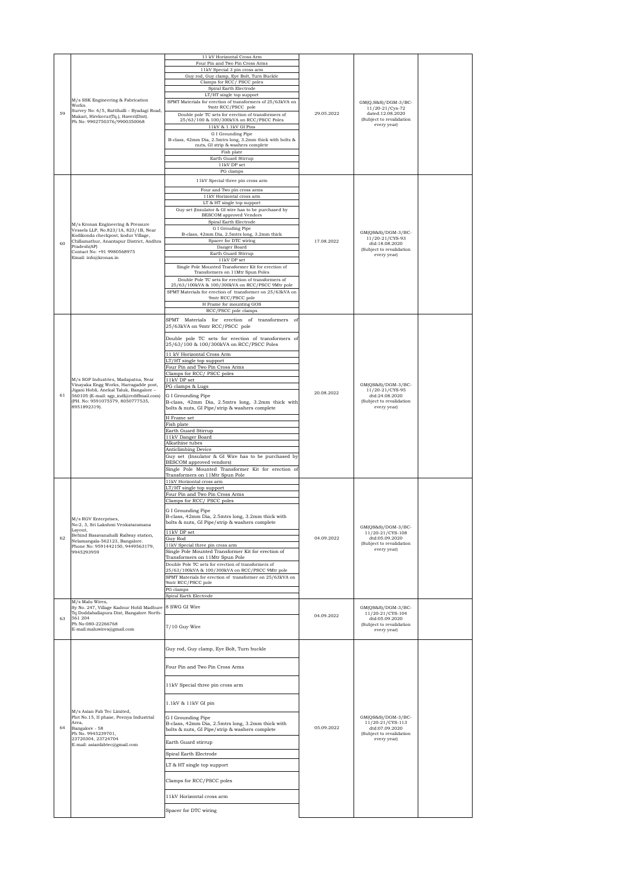|    |                                                                                                                                                                                                                         | 11 kV Horizontal Cross Arm<br>Four Pin and Two Pin Cross Arms<br>11kV Special 3 pin cross arm<br>Guy rod, Guy clamp, Eye Bolt, Turn Buckle<br>Clamps for RCC/PSCC poles<br>Spiral Earth Electrode<br>LT/HT single top support                                                                                                                                                                                                                                                                                         |            |                                                                                                       |  |
|----|-------------------------------------------------------------------------------------------------------------------------------------------------------------------------------------------------------------------------|-----------------------------------------------------------------------------------------------------------------------------------------------------------------------------------------------------------------------------------------------------------------------------------------------------------------------------------------------------------------------------------------------------------------------------------------------------------------------------------------------------------------------|------------|-------------------------------------------------------------------------------------------------------|--|
| 59 | M/s SSK Engineering & Fabrication<br>Works.<br>Survey No: 6/5, Rattihalli - Byadagi Road,<br>Makari, Hirekerur(Tq.), Haveri(Dist).<br>Ph No: 9902750376/9900350068                                                      | SPMT Materials for erection of transformers of 25/63kVA on<br>9mtr RCC/PSCC pole<br>Double pole TC sets for erection of transformers of<br>25/63/100 & 100/300kVA on RCC/PSCC Poles<br>$11\mathrm{kV}$ & $1.1\mathrm{kV}$ GI Pins<br>G I Grounding Pipe<br>B-class, 42mm Dia, 2.5mtrs long, 3.2mm thick with bolts &<br>nuts, GI strip & washers complete<br>Fish plate<br>Earth Guard Stirrup<br>11kV DP set                                                                                                         | 29.05.2022 | GM(Q,S&S)/DGM-3/BC-<br>11/20-21/Cys-72<br>dated:12.08.2020<br>(Subject to revalidation<br>every year) |  |
|    |                                                                                                                                                                                                                         | PG clamps<br>11kV Special three pin cross arm<br>Four and Two pin cross arms<br>11kV Horizontal cross arm                                                                                                                                                                                                                                                                                                                                                                                                             |            |                                                                                                       |  |
| 60 | M/s Kronax Engineering & Pressure<br>Vessels LLP, No.823/1A, 823/1B, Near<br>Kodikonda checkpost, kodur Village,<br>Chillamathur, Anantapur District, Andhra<br>Pradesh(AP)                                             | LT & HT single top support<br>Guy set (Insulator & GI wire has to be purchased by<br><b>BESCOM</b> approved Vendors<br>Spiral Earth Electrode<br>G I Grouding Pipe<br>B-class, 42mm Dia, 2.5mtrs long, 3.2mm thick<br>Spacer for DTC wiring<br>Danger Board                                                                                                                                                                                                                                                           | 17.08.2022 | $GM(QS&S)/DGM-3/BC-$<br>11/20-21/CYS-93<br>dtd:18.08.2020                                             |  |
|    | Contact No: +91 9980568975<br>Email: info@kronax.in                                                                                                                                                                     | Earth Guard Stirrup<br>11kV DP set<br>Single Pole Mounted Transformer Kit for erection of<br>Transformers on 11Mtr Spun Poles<br>Double Pole TC sets for erection of transformers of<br>25/63/100kVA & 100/300kVA on RCC/PSCC 9Mtr pole<br>SPMT Materials for erection of transformer on 25/63kVA on<br>9mtr RCC/PSCC pole<br>H Frame for mounting GOS<br>RCC/PSCC pole clamps                                                                                                                                        |            | (Subject to revalidation<br>every year)                                                               |  |
|    |                                                                                                                                                                                                                         | SPMT Materials for erection of transformers of<br>25/63kVA on 9mtr RCC/PSCC pole<br>Double pole TC sets for erection of transformers of                                                                                                                                                                                                                                                                                                                                                                               |            |                                                                                                       |  |
| 61 | M/s SGP Industries, Madapatna, Near<br>Vinayaka Engg Works, Harragadde post,<br>Jigani Hobli, Anekal Taluk, Bangalore -<br>560105 (E-mail: sgp_indl@rediffmail.com)<br>(PH. No: 9591075579, 8050777535,<br>8951892319). | 25/63/100 & 100/300kVA on RCC/PSCC Poles<br>11 kV Horizontal Cross Arm<br>LT/HT single top support<br>Four Pin and Two Pin Cross Arms<br>Clamps for RCC/ PSCC poles<br>11kV DP set<br>PG clamps & Lugs<br>G I Grounding Pipe<br>B-class, 42mm Dia, 2.5mtrs long, 3.2mm thick with<br>bolts & nuts, GI Pipe/strip & washers complete                                                                                                                                                                                   | 20.08.2022 | GM(QS&S)/DGM-3/BC-<br>11/20-21/CYS-95<br>dtd:24.08.2020<br>(Subject to revalidation<br>every year)    |  |
|    |                                                                                                                                                                                                                         | H Frame set<br>Fish plate<br>Earth Guard Stirrup<br>11kV Danger Board<br>Alkathine tubes<br>Anticlimbing Device<br>Guy set (Insulator & GI Wire has to be purchased by<br>BESCOM approved vendors)<br>Single Pole Mounted Transformer Kit for erection of<br>Transformers on 11Mtr Spun Pole                                                                                                                                                                                                                          |            |                                                                                                       |  |
| 62 | M/s RGV Enterprises,<br>No:2, 3, Sri Lakshmi Venkataramana<br>Layout,<br>Behind Basavanahalli Railway station,<br>Nelamangala-562123, Bangalore.<br>Phone No: 9591442150, 9449563179,<br>9945293959                     | 11kV Horizontal cross arm<br>LT/HT single top support<br>Four Pin and Two Pin Cross Arms<br>Clamps for RCC/ PSCC poles<br>G I Grounding Pipe<br>B-class, 42mm Dia, 2.5mtrs long, 3.2mm thick with<br>bolts & nuts, GI Pipe/strip & washers complete<br>11kV DP set<br>Guy Rod<br>11kV Special three pin cross arm<br>Single Pole Mounted Transformer Kit for erection of<br>Transformers on 11Mtr Spun Pole<br>Double Pole TC sets for erection of transformers of<br>25/63/100kVA & 100/300kVA on RCC/PSCC 9Mtr pole | 04.09.2022 | GM(QS&S)/DGM-3/BC-<br>11/20-21/CYS-108<br>dtd:05.09.2020<br>(Subject to revalidation<br>every year)   |  |
|    |                                                                                                                                                                                                                         | SPMT Materials for erection of transformer on 25/63kVA on<br>9mtr RCC/PSCC pole<br>PG clamps<br>Spiral Earth Electrode                                                                                                                                                                                                                                                                                                                                                                                                |            |                                                                                                       |  |
| 63 | M/s Malu Wires,<br>Sy No. 247, Village Kadnur Hobli Madhure 8 SWG GI Wire<br>Tq Doddaballapura Dist, Bangalore North-<br>561 204<br>Ph No:080-22266768<br>E-mail:maluwires@gmail.com                                    | 7/10 Guy Wire                                                                                                                                                                                                                                                                                                                                                                                                                                                                                                         | 04.09.2022 | $GM(QS&S)/DGM-3/BC-$<br>11/20-21/CYS-104<br>dtd:05.09.2020<br>(Subject to revalidation<br>every year) |  |
|    |                                                                                                                                                                                                                         | Guy rod, Guy clamp, Eye Bolt, Turn buckle                                                                                                                                                                                                                                                                                                                                                                                                                                                                             |            |                                                                                                       |  |
|    |                                                                                                                                                                                                                         | Four Pin and Two Pin Cross Arms                                                                                                                                                                                                                                                                                                                                                                                                                                                                                       |            |                                                                                                       |  |
|    |                                                                                                                                                                                                                         | 11kV Special three pin cross arm<br>1.1kV & 11kV GI pin                                                                                                                                                                                                                                                                                                                                                                                                                                                               |            |                                                                                                       |  |
| 64 | M/s Asian Fab Tec Limited,<br>Plot No.15, II phase, Peenya Industrial<br>Area,<br>Bangalore - 58<br>Ph No. 9945239701,<br>23720304, 23724704                                                                            | G I Grounding Pipe<br>B-class, 42mm Dia, 2.5mtrs long, 3.2mm thick with<br>bolts & nuts, GI Pipe/strip & washers complete                                                                                                                                                                                                                                                                                                                                                                                             | 05.09.2022 | $GM(QS&S)/DGM-3/BC-$<br>11/20-21/CYS-113<br>dtd:07.09.2020<br>(Subject to revalidation<br>every year) |  |
|    | E-mail: asianfabtec@gmail.com                                                                                                                                                                                           | Earth Guard stirrup<br>Spiral Earth Electrode                                                                                                                                                                                                                                                                                                                                                                                                                                                                         |            |                                                                                                       |  |
|    |                                                                                                                                                                                                                         | LT & HT single top support                                                                                                                                                                                                                                                                                                                                                                                                                                                                                            |            |                                                                                                       |  |
|    |                                                                                                                                                                                                                         | Clamps for RCC/PSCC poles                                                                                                                                                                                                                                                                                                                                                                                                                                                                                             |            |                                                                                                       |  |
|    |                                                                                                                                                                                                                         | 11kV Horizontal cross arm                                                                                                                                                                                                                                                                                                                                                                                                                                                                                             |            |                                                                                                       |  |
|    |                                                                                                                                                                                                                         | Spacer for DTC wiring                                                                                                                                                                                                                                                                                                                                                                                                                                                                                                 |            |                                                                                                       |  |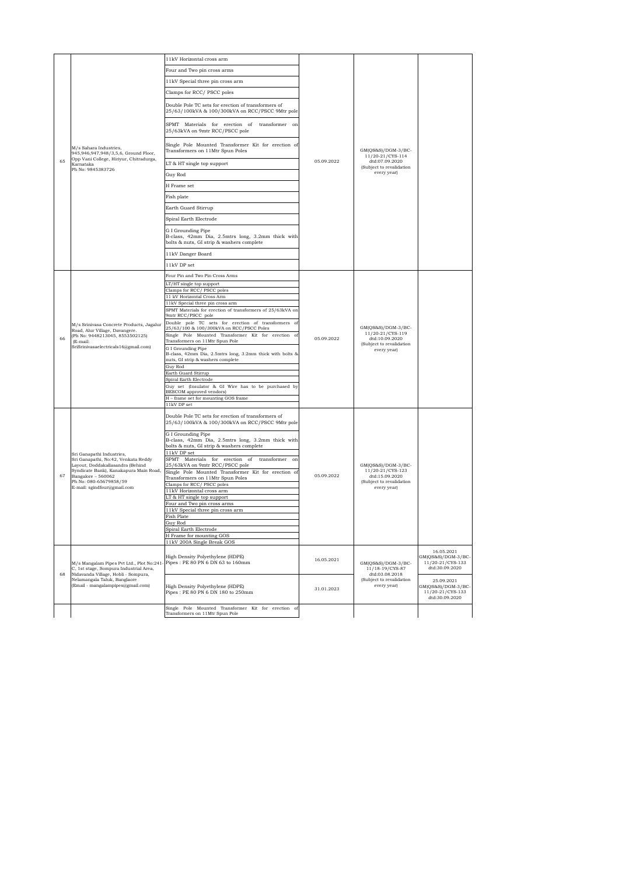|    |                                                                                                                                                                                                                                                                                                                                                                                                      | 11kV Horizontal cross arm                                                                                            |                          |                                                                                                                                                                                                            |                                                                        |
|----|------------------------------------------------------------------------------------------------------------------------------------------------------------------------------------------------------------------------------------------------------------------------------------------------------------------------------------------------------------------------------------------------------|----------------------------------------------------------------------------------------------------------------------|--------------------------|------------------------------------------------------------------------------------------------------------------------------------------------------------------------------------------------------------|------------------------------------------------------------------------|
| 65 |                                                                                                                                                                                                                                                                                                                                                                                                      | Four and Two pin cross arms                                                                                          |                          | $GM(QS&S)/DGM-3/BC-$<br>11/20-21/CYS-114<br>dtd:07.09.2020<br>(Subject to revalidation<br>every year)                                                                                                      |                                                                        |
|    |                                                                                                                                                                                                                                                                                                                                                                                                      | 11kV Special three pin cross arm                                                                                     |                          |                                                                                                                                                                                                            |                                                                        |
|    | M/s Sahara Industries,<br>945,946,947,948/3,5,6, Ground Floor,<br>Opp Vani College, Hiriyur, Chitradurga,<br>Karnataka<br>Ph No: 9845383726                                                                                                                                                                                                                                                          |                                                                                                                      | 05.09.2022               |                                                                                                                                                                                                            |                                                                        |
|    |                                                                                                                                                                                                                                                                                                                                                                                                      | Clamps for RCC/ PSCC poles<br>Double Pole TC sets for erection of transformers of                                    |                          |                                                                                                                                                                                                            |                                                                        |
|    |                                                                                                                                                                                                                                                                                                                                                                                                      | 25/63/100kVA & 100/300kVA on RCC/PSCC 9Mtr pole<br>SPMT Materials for erection of transformer on                     |                          |                                                                                                                                                                                                            |                                                                        |
|    |                                                                                                                                                                                                                                                                                                                                                                                                      | 25/63kVA on 9mtr RCC/PSCC pole<br>Single Pole Mounted Transformer Kit for erection of                                |                          |                                                                                                                                                                                                            |                                                                        |
|    |                                                                                                                                                                                                                                                                                                                                                                                                      | Transformers on 11Mtr Spun Poles                                                                                     |                          |                                                                                                                                                                                                            |                                                                        |
|    |                                                                                                                                                                                                                                                                                                                                                                                                      | LT & HT single top support                                                                                           |                          |                                                                                                                                                                                                            |                                                                        |
|    |                                                                                                                                                                                                                                                                                                                                                                                                      | Guy Rod                                                                                                              |                          |                                                                                                                                                                                                            |                                                                        |
|    |                                                                                                                                                                                                                                                                                                                                                                                                      | H Frame set                                                                                                          |                          |                                                                                                                                                                                                            |                                                                        |
|    |                                                                                                                                                                                                                                                                                                                                                                                                      | Fish plate                                                                                                           |                          |                                                                                                                                                                                                            |                                                                        |
|    |                                                                                                                                                                                                                                                                                                                                                                                                      | Earth Guard Stirrup                                                                                                  |                          |                                                                                                                                                                                                            |                                                                        |
|    |                                                                                                                                                                                                                                                                                                                                                                                                      | Spiral Earth Electrode                                                                                               |                          |                                                                                                                                                                                                            |                                                                        |
|    |                                                                                                                                                                                                                                                                                                                                                                                                      | G I Grounding Pipe<br>B-class, 42mm Dia, 2.5mtrs long, 3.2mm thick with<br>bolts & nuts, GI strip & washers complete |                          |                                                                                                                                                                                                            |                                                                        |
|    |                                                                                                                                                                                                                                                                                                                                                                                                      | 11kV Danger Board                                                                                                    |                          |                                                                                                                                                                                                            |                                                                        |
|    |                                                                                                                                                                                                                                                                                                                                                                                                      | $11kV$ DP set                                                                                                        |                          |                                                                                                                                                                                                            |                                                                        |
|    |                                                                                                                                                                                                                                                                                                                                                                                                      | Four Pin and Two Pin Cross Arms                                                                                      |                          |                                                                                                                                                                                                            |                                                                        |
|    |                                                                                                                                                                                                                                                                                                                                                                                                      | LT/HT single top support                                                                                             |                          |                                                                                                                                                                                                            |                                                                        |
|    |                                                                                                                                                                                                                                                                                                                                                                                                      | Clamps for RCC/PSCC poles<br>11 kV Horizontal Cross Arm                                                              |                          |                                                                                                                                                                                                            |                                                                        |
|    | M/s Srinivasa Concrete Products, Jagalur<br>Road, Alur Village, Davangere.<br>(Ph No: 9448213045, 8553502125)<br>(E-mail:<br>SriSrinivasaele ctricals 16@gmail.com)<br>Sri Ganapathi Industries,<br>Sri Ganapathi, No:42, Venkata Reddy<br>Layout, Doddakallasandra (Behind<br>Syndicate Bank), Kanakapura Main Road,<br>Bangalore - 560062<br>Ph No: 080-65679858/59<br>E-mail: sgindfour@gmail.com | 11kV Special three pin cross arm                                                                                     | 05.09.2022<br>05.09.2022 |                                                                                                                                                                                                            |                                                                        |
|    |                                                                                                                                                                                                                                                                                                                                                                                                      | SPMT Materials for erection of transformers of 25/63kVA on<br>9mtr RCC/PSCC pole                                     |                          |                                                                                                                                                                                                            |                                                                        |
|    |                                                                                                                                                                                                                                                                                                                                                                                                      | Double pole TC sets for erection of transformers of<br>25/63/100 & 100/300kVA on RCC/PSCC Poles                      |                          | GM(QS&S)/DGM-3/BC-<br>11/20-21/CYS-119<br>dtd:10.09.2020<br>(Subject to revalidation<br>every year)<br>GM(OS&S)/DGM-3/BC-<br>11/20-21/CYS-123<br>dtd:15.09.2020<br>(Subject to revalidation<br>every year) |                                                                        |
|    |                                                                                                                                                                                                                                                                                                                                                                                                      | Single Pole Mounted Transformer Kit for erection of                                                                  |                          |                                                                                                                                                                                                            |                                                                        |
| 66 |                                                                                                                                                                                                                                                                                                                                                                                                      | Transformers on 11Mtr Spun Pole<br>G I Grounding Pipe                                                                |                          |                                                                                                                                                                                                            |                                                                        |
|    |                                                                                                                                                                                                                                                                                                                                                                                                      | B-class, 42mm Dia, 2.5mtrs long, 3.2mm thick with bolts &<br>nuts, GI strip & washers complete                       |                          |                                                                                                                                                                                                            |                                                                        |
|    |                                                                                                                                                                                                                                                                                                                                                                                                      | Guy Rod<br>Earth Guard Stirrup                                                                                       |                          |                                                                                                                                                                                                            |                                                                        |
|    |                                                                                                                                                                                                                                                                                                                                                                                                      | Spiral Earth Electrode<br>Guy set (Insulator & GI Wire has to be purchased by                                        |                          |                                                                                                                                                                                                            |                                                                        |
|    |                                                                                                                                                                                                                                                                                                                                                                                                      | BESCOM approved vendors)                                                                                             |                          |                                                                                                                                                                                                            |                                                                        |
|    |                                                                                                                                                                                                                                                                                                                                                                                                      | H - frame set for mounting GOS frame<br>$11\mathrm{kV}$ DP set                                                       |                          |                                                                                                                                                                                                            |                                                                        |
|    |                                                                                                                                                                                                                                                                                                                                                                                                      | Double Pole TC sets for erection of transformers of<br>25/63/100kVA & 100/300kVA on RCC/PSCC 9Mtr pole               |                          |                                                                                                                                                                                                            |                                                                        |
|    |                                                                                                                                                                                                                                                                                                                                                                                                      | G I Grounding Pipe<br>B-class, 42mm Dia, 2.5mtrs long, 3.2mm thick with                                              |                          |                                                                                                                                                                                                            |                                                                        |
|    |                                                                                                                                                                                                                                                                                                                                                                                                      | bolts & nuts, GI strip & washers complete<br>11kV DP set                                                             |                          |                                                                                                                                                                                                            |                                                                        |
|    |                                                                                                                                                                                                                                                                                                                                                                                                      | SPMT Materials for erection of transformer on<br>25/63kVA on 9mtr RCC/PSCC pole                                      |                          |                                                                                                                                                                                                            |                                                                        |
| 67 |                                                                                                                                                                                                                                                                                                                                                                                                      | Single Pole Mounted Transformer Kit for erection of                                                                  |                          |                                                                                                                                                                                                            |                                                                        |
|    |                                                                                                                                                                                                                                                                                                                                                                                                      | Transformers on 11Mtr Spun Poles<br>Clamps for RCC/ PSCC poles                                                       |                          |                                                                                                                                                                                                            |                                                                        |
|    |                                                                                                                                                                                                                                                                                                                                                                                                      | 11kV Horizontal cross arm                                                                                            |                          |                                                                                                                                                                                                            |                                                                        |
|    |                                                                                                                                                                                                                                                                                                                                                                                                      | LT & HT single top support<br>Four and Two pin cross arms                                                            |                          |                                                                                                                                                                                                            |                                                                        |
|    |                                                                                                                                                                                                                                                                                                                                                                                                      | 11kV Special three pin cross arm<br>Fish Plate                                                                       |                          |                                                                                                                                                                                                            |                                                                        |
|    |                                                                                                                                                                                                                                                                                                                                                                                                      | Guy Rod                                                                                                              |                          |                                                                                                                                                                                                            |                                                                        |
|    |                                                                                                                                                                                                                                                                                                                                                                                                      | Spiral Earth Electrode<br>H Frame for mounting GOS                                                                   |                          |                                                                                                                                                                                                            |                                                                        |
|    |                                                                                                                                                                                                                                                                                                                                                                                                      | 11kV 200A Single Break GOS                                                                                           |                          |                                                                                                                                                                                                            |                                                                        |
| 68 | M/s Mangalam Pipes Pvt Ltd., Plot No:241<br>C, 1st stage, Sompura Industrial Area,<br>Nidavanda Village, Hobli - Sompura,<br>Nelamangala Taluk, Banglaore<br>(Email - mangalampipes@gmail.com)                                                                                                                                                                                                       | High Density Polyethylene (HDPE)<br>Pipes: PE 80 PN 6 DN 63 to 160mm                                                 | 16.05.2021               | GM(QS&S)/DGM-3/BC-<br>11/18-19/CYS-87                                                                                                                                                                      | 16.05.2021<br>GM(QS&S)/DGM-3/BC-<br>11/20-21/CYS-133<br>dtd:30.09.2020 |
|    |                                                                                                                                                                                                                                                                                                                                                                                                      |                                                                                                                      | dtd:03.08.2018           |                                                                                                                                                                                                            |                                                                        |
|    |                                                                                                                                                                                                                                                                                                                                                                                                      | High Density Polyethylene (HDPE)<br>Pipes: PE 80 PN 6 DN 180 to 250mm                                                | 31.01.2023               | (Subject to revalidation<br>every year)                                                                                                                                                                    | 25.09.2021<br>GM(QS&S)/DGM-3/BC-<br>11/20-21/CYS-133<br>dtd:30.09.2020 |
|    |                                                                                                                                                                                                                                                                                                                                                                                                      | Single Pole Mounted Transformer Kit for erection of<br>Transformers on 11Mtr Spun Pole                               |                          |                                                                                                                                                                                                            |                                                                        |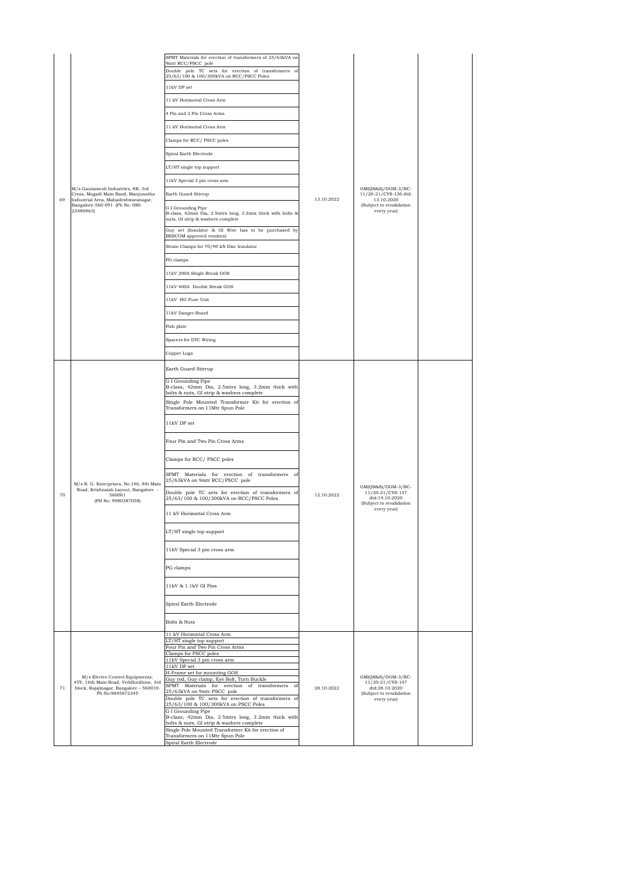| 69 | M/s Gautamesh Industries, 8B, 3rd<br>Cross, Magadi Main Raod, Manjunatha<br>Industrial Area, Mahadeshwaranagar,<br>Bangalore-560 091 (Ph No: 080-<br>23486963) | SPMT Materials for erection of transformers of 25/63kVA on<br>9mtr RCC/PSCC pole<br>Double pole TC sets for erection of transformers of<br>25/63/100 & 100/300kVA on RCC/PSCC Poles<br>11kV DP set<br>11 kV Horizontal Cross Arm<br>4 Pin and 2 Pin Cross Arms<br>11 kV Horizontal Cross Arm<br>Clamps for RCC/ PSCC poles<br>Spiral Earth Electrode<br>LT/HT single top support<br>11kV Special 3 pin cross arm<br>Earth Guard Stirrup<br>G I Grounding Pipe<br>B-class, 42mm Dia, 2.5mtrs long, 3.2mm thick with bolts &<br>nuts, GI strip & washers complete<br>Guy set (Insulator & GI Wire has to be purchased by<br>BESCOM approved vendors)<br>Strain Clamps for 70/90 kN Disc Insulator<br>PG clamps<br>11kV 200A Single Break GOS<br>11kV 400A Double Break GOS<br>11kV HG Fuse Unit<br>11kV Danger Board<br>Fish plate<br>Spacers for DTC Wiring<br>Copper Lugs | 13.10.2022 | $GM(QS&S)/DGM-3/BC-$<br>11/20-21/CYS-136 dtd:<br>13.10.2020<br>(Subject to revalidation<br>every year) |  |
|----|----------------------------------------------------------------------------------------------------------------------------------------------------------------|---------------------------------------------------------------------------------------------------------------------------------------------------------------------------------------------------------------------------------------------------------------------------------------------------------------------------------------------------------------------------------------------------------------------------------------------------------------------------------------------------------------------------------------------------------------------------------------------------------------------------------------------------------------------------------------------------------------------------------------------------------------------------------------------------------------------------------------------------------------------------|------------|--------------------------------------------------------------------------------------------------------|--|
| 70 | M/s R. G. Enterprises, No:146, 8th Main<br>Road, Krishnaiah Layout, Bangalore -<br>560061<br>(PH No: 9980387058)                                               | Earth Guard Stirrup<br>G I Grounding Pipe<br>B-class, 42mm Dia, 2.5mtrs long, 3.2mm thick with<br>bolts & nuts, GI strip & washers complete<br>Single Pole Mounted Transformer Kit for erection of<br>Transformers on 11Mtr Spun Pole<br>11kV DP set<br>Four Pin and Two Pin Cross Arms<br>Clamps for RCC/ PSCC poles<br>SPMT Materials for erection of transformers of<br>25/63kVA on 9mtr RCC/PSCC pole<br>Double pole TC sets for erection of transformers of<br>25/63/100 & 100/300kVA on RCC/PSCC Poles<br>11 kV Horizontal Cross Arm<br>LT/HT single top support<br>11kV Special 3 pin cross arm<br>PG clamps<br>11kV & 1.1kV GI Pins<br>Spiral Earth Electrode<br>Bolts & Nuts                                                                                                                                                                                     | 12.10.2022 | $GM(QS&S)/DGM-3/BC-$<br>11/20-21/CYS-137<br>dtd:14.10.2020<br>(Subject to revalidation<br>every year)  |  |
| 71 | M/s Electro Control Equipments,<br>#5Y, 16th Main Road, Yeddlurdinne, 3rd<br>block, Rajajinagar, Bangalore - 560010.<br>Ph No:9845872345                       | 11 kV Horizontal Cross Arm<br>LT/HT single top support<br>Four Pin and Two Pin Cross Arms<br>Clamps for PSCC poles<br>11kV Special 3 pin cross arm<br>11kV DP set<br>H-Frame set for mounting GOS<br>Guy rod, Guy clamp, Eye Bolt, Turn Buckle<br>SPMT Materials for erection of transformers of<br>25/63kVA on 9mtr PSCC pole<br>Double pole TC sets for erection of transformers of<br>25/63/100 & 100/300kVA on PSCC Poles<br>G I Grounding Pipe<br>B-class, 42mm Dia, 2.5mtrs long, 3.2mm thick with<br>bolts & nuts, GI strip & washers complete<br>Single Pole Mounted Transformer Kit for erection of<br>Transformers on 11Mtr Spun Pole<br>Spiral Earth Electrode                                                                                                                                                                                                 | 28.10.2022 | $GM(QS&S)/DGM-3/BC-$<br>11/20-21/CYS-147<br>dtd:28.10.2020<br>(Subject to revalidation<br>every year)  |  |